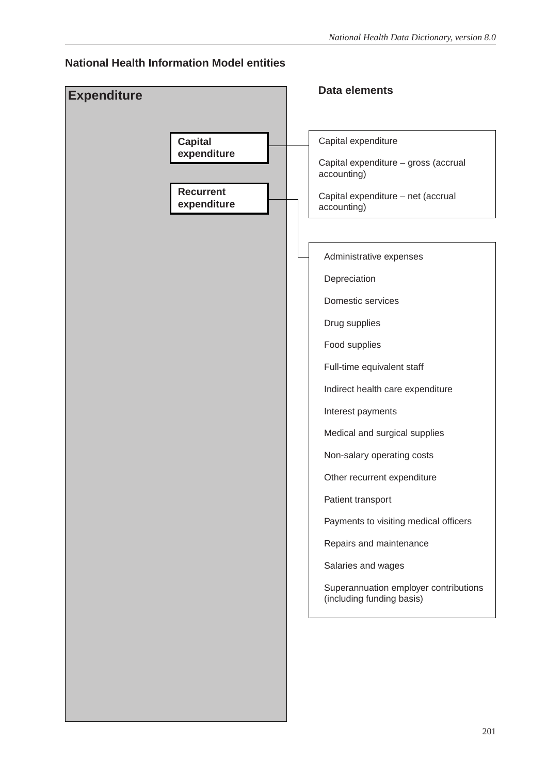#### **National Health Information Model entities**

| <b>Expenditure</b>              | <b>Data elements</b>                                               |
|---------------------------------|--------------------------------------------------------------------|
|                                 |                                                                    |
| <b>Capital</b>                  | Capital expenditure                                                |
| expenditure                     | Capital expenditure - gross (accrual<br>accounting)                |
| <b>Recurrent</b><br>expenditure | Capital expenditure - net (accrual<br>accounting)                  |
|                                 |                                                                    |
|                                 | Administrative expenses                                            |
|                                 | Depreciation                                                       |
|                                 | Domestic services                                                  |
|                                 | Drug supplies                                                      |
|                                 | Food supplies                                                      |
|                                 | Full-time equivalent staff                                         |
|                                 | Indirect health care expenditure                                   |
|                                 | Interest payments                                                  |
|                                 | Medical and surgical supplies                                      |
|                                 | Non-salary operating costs                                         |
|                                 | Other recurrent expenditure                                        |
|                                 | Patient transport                                                  |
|                                 | Payments to visiting medical officers                              |
|                                 | Repairs and maintenance                                            |
|                                 | Salaries and wages                                                 |
|                                 | Superannuation employer contributions<br>(including funding basis) |
|                                 |                                                                    |
|                                 |                                                                    |
|                                 |                                                                    |
|                                 |                                                                    |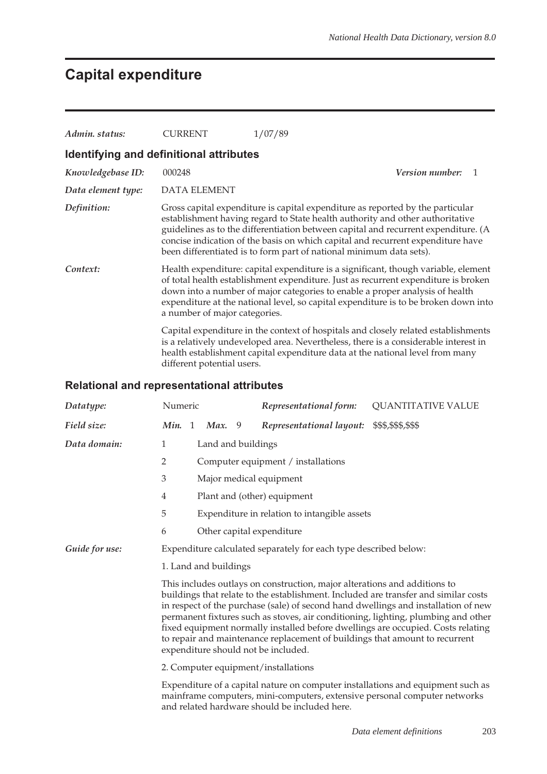# **Capital expenditure**

| Admin. status:                          | CURRENT                       | 1/07/89                                                                                                                                                                                                                                                                                                                                                                                                         |
|-----------------------------------------|-------------------------------|-----------------------------------------------------------------------------------------------------------------------------------------------------------------------------------------------------------------------------------------------------------------------------------------------------------------------------------------------------------------------------------------------------------------|
| Identifying and definitional attributes |                               |                                                                                                                                                                                                                                                                                                                                                                                                                 |
| Knowledgebase ID:                       | 000248                        | <i>Version number:</i><br>1                                                                                                                                                                                                                                                                                                                                                                                     |
| Data element type:                      | <b>DATA ELEMENT</b>           |                                                                                                                                                                                                                                                                                                                                                                                                                 |
| Definition:                             |                               | Gross capital expenditure is capital expenditure as reported by the particular<br>establishment having regard to State health authority and other authoritative<br>guidelines as to the differentiation between capital and recurrent expenditure. (A<br>concise indication of the basis on which capital and recurrent expenditure have<br>been differentiated is to form part of national minimum data sets). |
| Context:                                | a number of major categories. | Health expenditure: capital expenditure is a significant, though variable, element<br>of total health establishment expenditure. Just as recurrent expenditure is broken<br>down into a number of major categories to enable a proper analysis of health<br>expenditure at the national level, so capital expenditure is to be broken down into                                                                 |
|                                         | different potential users.    | Capital expenditure in the context of hospitals and closely related establishments<br>is a relatively undeveloped area. Nevertheless, there is a considerable interest in<br>health establishment capital expenditure data at the national level from many                                                                                                                                                      |

### **Relational and representational attributes**

| Datatype:      | Numeric                                                                                                                                                                                                                                                                                                                                                                                                                                                                                                                                               |  |                    |   | Representational form:                                           | <b>QUANTITATIVE VALUE</b> |  |
|----------------|-------------------------------------------------------------------------------------------------------------------------------------------------------------------------------------------------------------------------------------------------------------------------------------------------------------------------------------------------------------------------------------------------------------------------------------------------------------------------------------------------------------------------------------------------------|--|--------------------|---|------------------------------------------------------------------|---------------------------|--|
| Field size:    | Min. 1                                                                                                                                                                                                                                                                                                                                                                                                                                                                                                                                                |  | Max.               | 9 | Representational layout:                                         | \$\$\$,\$\$\$,\$\$\$      |  |
| Data domain:   | 1                                                                                                                                                                                                                                                                                                                                                                                                                                                                                                                                                     |  | Land and buildings |   |                                                                  |                           |  |
|                | $\overline{2}$                                                                                                                                                                                                                                                                                                                                                                                                                                                                                                                                        |  |                    |   | Computer equipment / installations                               |                           |  |
|                | 3                                                                                                                                                                                                                                                                                                                                                                                                                                                                                                                                                     |  |                    |   | Major medical equipment                                          |                           |  |
|                | 4                                                                                                                                                                                                                                                                                                                                                                                                                                                                                                                                                     |  |                    |   | Plant and (other) equipment                                      |                           |  |
|                | 5                                                                                                                                                                                                                                                                                                                                                                                                                                                                                                                                                     |  |                    |   | Expenditure in relation to intangible assets                     |                           |  |
|                | 6                                                                                                                                                                                                                                                                                                                                                                                                                                                                                                                                                     |  |                    |   | Other capital expenditure                                        |                           |  |
| Guide for use: |                                                                                                                                                                                                                                                                                                                                                                                                                                                                                                                                                       |  |                    |   | Expenditure calculated separately for each type described below: |                           |  |
|                | 1. Land and buildings                                                                                                                                                                                                                                                                                                                                                                                                                                                                                                                                 |  |                    |   |                                                                  |                           |  |
|                | This includes outlays on construction, major alterations and additions to<br>buildings that relate to the establishment. Included are transfer and similar costs<br>in respect of the purchase (sale) of second hand dwellings and installation of new<br>permanent fixtures such as stoves, air conditioning, lighting, plumbing and other<br>fixed equipment normally installed before dwellings are occupied. Costs relating<br>to repair and maintenance replacement of buildings that amount to recurrent<br>expenditure should not be included. |  |                    |   |                                                                  |                           |  |
|                | 2. Computer equipment/installations                                                                                                                                                                                                                                                                                                                                                                                                                                                                                                                   |  |                    |   |                                                                  |                           |  |
|                | Expenditure of a capital nature on computer installations and equipment such as<br>mainframe computers, mini-computers, extensive personal computer networks<br>and related hardware should be included here.                                                                                                                                                                                                                                                                                                                                         |  |                    |   |                                                                  |                           |  |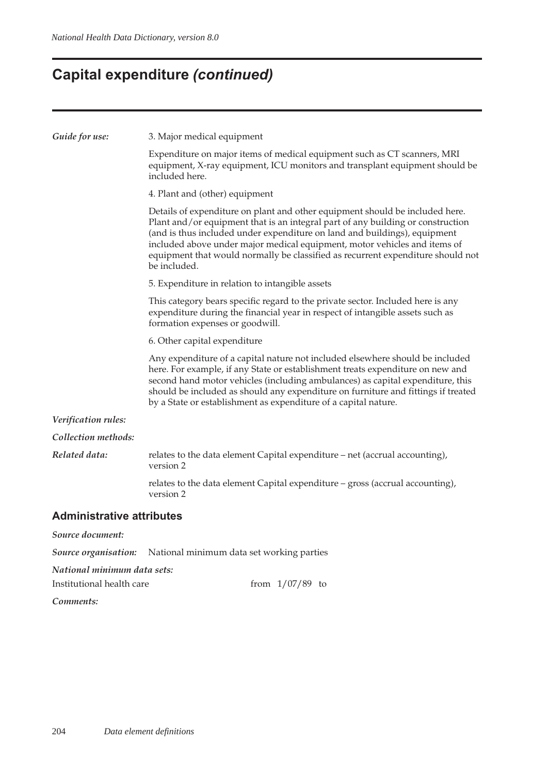## **Capital expenditure** *(continued)*

| Guide for use:                   | 3. Major medical equipment                                                                                                                                                                                                                                                                                                                                                                                                   |  |  |  |  |
|----------------------------------|------------------------------------------------------------------------------------------------------------------------------------------------------------------------------------------------------------------------------------------------------------------------------------------------------------------------------------------------------------------------------------------------------------------------------|--|--|--|--|
|                                  | Expenditure on major items of medical equipment such as CT scanners, MRI<br>equipment, X-ray equipment, ICU monitors and transplant equipment should be<br>included here.                                                                                                                                                                                                                                                    |  |  |  |  |
|                                  | 4. Plant and (other) equipment                                                                                                                                                                                                                                                                                                                                                                                               |  |  |  |  |
|                                  | Details of expenditure on plant and other equipment should be included here.<br>Plant and/or equipment that is an integral part of any building or construction<br>(and is thus included under expenditure on land and buildings), equipment<br>included above under major medical equipment, motor vehicles and items of<br>equipment that would normally be classified as recurrent expenditure should not<br>be included. |  |  |  |  |
|                                  | 5. Expenditure in relation to intangible assets                                                                                                                                                                                                                                                                                                                                                                              |  |  |  |  |
|                                  | This category bears specific regard to the private sector. Included here is any<br>expenditure during the financial year in respect of intangible assets such as<br>formation expenses or goodwill.                                                                                                                                                                                                                          |  |  |  |  |
|                                  | 6. Other capital expenditure                                                                                                                                                                                                                                                                                                                                                                                                 |  |  |  |  |
|                                  | Any expenditure of a capital nature not included elsewhere should be included<br>here. For example, if any State or establishment treats expenditure on new and<br>second hand motor vehicles (including ambulances) as capital expenditure, this<br>should be included as should any expenditure on furniture and fittings if treated<br>by a State or establishment as expenditure of a capital nature.                    |  |  |  |  |
| Verification rules:              |                                                                                                                                                                                                                                                                                                                                                                                                                              |  |  |  |  |
| Collection methods:              |                                                                                                                                                                                                                                                                                                                                                                                                                              |  |  |  |  |
| Related data:                    | relates to the data element Capital expenditure – net (accrual accounting),<br>version 2                                                                                                                                                                                                                                                                                                                                     |  |  |  |  |
|                                  | relates to the data element Capital expenditure - gross (accrual accounting),<br>version 2                                                                                                                                                                                                                                                                                                                                   |  |  |  |  |
| <b>Administrative attributes</b> |                                                                                                                                                                                                                                                                                                                                                                                                                              |  |  |  |  |
| Source document:                 |                                                                                                                                                                                                                                                                                                                                                                                                                              |  |  |  |  |
| Source organisation:             | National minimum data set working parties                                                                                                                                                                                                                                                                                                                                                                                    |  |  |  |  |

*National minimum data sets:*

| Institutional health care |  | from $1/07/89$ to |  |
|---------------------------|--|-------------------|--|
|---------------------------|--|-------------------|--|

*Comments:*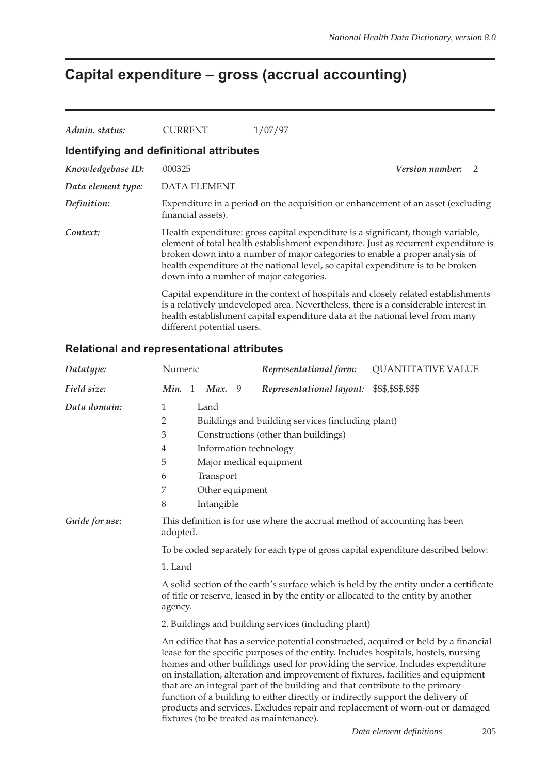# **Capital expenditure – gross (accrual accounting)**

| Admin. status:     | <b>CURRENT</b>                          | 1/07/97                                                                                                                                                                                                                                                                                                                                     |                 |                |
|--------------------|-----------------------------------------|---------------------------------------------------------------------------------------------------------------------------------------------------------------------------------------------------------------------------------------------------------------------------------------------------------------------------------------------|-----------------|----------------|
|                    | Identifying and definitional attributes |                                                                                                                                                                                                                                                                                                                                             |                 |                |
| Knowledgebase ID:  | 000325                                  |                                                                                                                                                                                                                                                                                                                                             | Version number: | $\overline{2}$ |
| Data element type: | <b>DATA ELEMENT</b>                     |                                                                                                                                                                                                                                                                                                                                             |                 |                |
| Definition:        | financial assets).                      | Expenditure in a period on the acquisition or enhancement of an asset (excluding                                                                                                                                                                                                                                                            |                 |                |
| Context:           | down into a number of major categories. | Health expenditure: gross capital expenditure is a significant, though variable,<br>element of total health establishment expenditure. Just as recurrent expenditure is<br>broken down into a number of major categories to enable a proper analysis of<br>health expenditure at the national level, so capital expenditure is to be broken |                 |                |
|                    | different potential users.              | Capital expenditure in the context of hospitals and closely related establishments<br>is a relatively undeveloped area. Nevertheless, there is a considerable interest in<br>health establishment capital expenditure data at the national level from many                                                                                  |                 |                |

#### **Relational and representational attributes**

| Datatype:      | Numeric                                                                                                                                                                                                                                                                                                                                                                            |  |                                 |                 | Representational form:                                                                                                                                                                                                                                              | <b>QUANTITATIVE VALUE</b>                                                                                                                                                                                                                                                                                                                                                                                                           |
|----------------|------------------------------------------------------------------------------------------------------------------------------------------------------------------------------------------------------------------------------------------------------------------------------------------------------------------------------------------------------------------------------------|--|---------------------------------|-----------------|---------------------------------------------------------------------------------------------------------------------------------------------------------------------------------------------------------------------------------------------------------------------|-------------------------------------------------------------------------------------------------------------------------------------------------------------------------------------------------------------------------------------------------------------------------------------------------------------------------------------------------------------------------------------------------------------------------------------|
| Field size:    | Min. 1                                                                                                                                                                                                                                                                                                                                                                             |  | Max.                            | 9               | Representational layout:                                                                                                                                                                                                                                            | \$\$\$,\$\$\$,\$\$\$                                                                                                                                                                                                                                                                                                                                                                                                                |
| Data domain:   | 1<br>2<br>3<br>4<br>5<br>6<br>7<br>8                                                                                                                                                                                                                                                                                                                                               |  | Land<br>Transport<br>Intangible | Other equipment | Buildings and building services (including plant)<br>Constructions (other than buildings)<br>Information technology<br>Major medical equipment                                                                                                                      |                                                                                                                                                                                                                                                                                                                                                                                                                                     |
| Guide for use: | This definition is for use where the accrual method of accounting has been<br>adopted.<br>To be coded separately for each type of gross capital expenditure described below:<br>1. Land<br>A solid section of the earth's surface which is held by the entity under a certificate<br>of title or reserve, leased in by the entity or allocated to the entity by another<br>agency. |  |                                 |                 |                                                                                                                                                                                                                                                                     |                                                                                                                                                                                                                                                                                                                                                                                                                                     |
|                |                                                                                                                                                                                                                                                                                                                                                                                    |  |                                 |                 | 2. Buildings and building services (including plant)<br>that are an integral part of the building and that contribute to the primary<br>function of a building to either directly or indirectly support the delivery of<br>fixtures (to be treated as maintenance). | An edifice that has a service potential constructed, acquired or held by a financial<br>lease for the specific purposes of the entity. Includes hospitals, hostels, nursing<br>homes and other buildings used for providing the service. Includes expenditure<br>on installation, alteration and improvement of fixtures, facilities and equipment<br>products and services. Excludes repair and replacement of worn-out or damaged |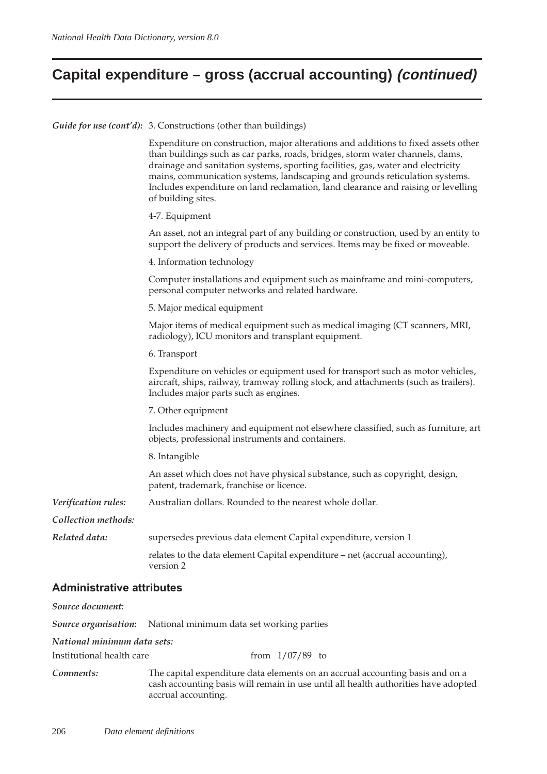## **Capital expenditure – gross (accrual accounting) (continued)**

*Guide for use (cont'd):* 3. Constructions (other than buildings)

| Expenditure on construction, major alterations and additions to fixed assets other<br>than buildings such as car parks, roads, bridges, storm water channels, dams,<br>drainage and sanitation systems, sporting facilities, gas, water and electricity<br>mains, communication systems, landscaping and grounds reticulation systems.<br>Includes expenditure on land reclamation, land clearance and raising or levelling<br>of building sites. |
|---------------------------------------------------------------------------------------------------------------------------------------------------------------------------------------------------------------------------------------------------------------------------------------------------------------------------------------------------------------------------------------------------------------------------------------------------|
| 4-7. Equipment                                                                                                                                                                                                                                                                                                                                                                                                                                    |
| An asset, not an integral part of any building or construction, used by an entity to<br>support the delivery of products and services. Items may be fixed or moveable.                                                                                                                                                                                                                                                                            |
| 4. Information technology                                                                                                                                                                                                                                                                                                                                                                                                                         |
| Computer installations and equipment such as mainframe and mini-computers,<br>personal computer networks and related hardware.                                                                                                                                                                                                                                                                                                                    |
| 5. Major medical equipment                                                                                                                                                                                                                                                                                                                                                                                                                        |
| Major items of medical equipment such as medical imaging (CT scanners, MRI,<br>radiology), ICU monitors and transplant equipment.                                                                                                                                                                                                                                                                                                                 |
| 6. Transport                                                                                                                                                                                                                                                                                                                                                                                                                                      |
| Expenditure on vehicles or equipment used for transport such as motor vehicles,<br>aircraft, ships, railway, tramway rolling stock, and attachments (such as trailers).<br>Includes major parts such as engines.                                                                                                                                                                                                                                  |
| 7. Other equipment                                                                                                                                                                                                                                                                                                                                                                                                                                |
| Includes machinery and equipment not elsewhere classified, such as furniture, art<br>objects, professional instruments and containers.                                                                                                                                                                                                                                                                                                            |
| 8. Intangible                                                                                                                                                                                                                                                                                                                                                                                                                                     |
| An asset which does not have physical substance, such as copyright, design,<br>patent, trademark, franchise or licence.                                                                                                                                                                                                                                                                                                                           |
| Australian dollars. Rounded to the nearest whole dollar.                                                                                                                                                                                                                                                                                                                                                                                          |
|                                                                                                                                                                                                                                                                                                                                                                                                                                                   |
| supersedes previous data element Capital expenditure, version 1                                                                                                                                                                                                                                                                                                                                                                                   |
| relates to the data element Capital expenditure - net (accrual accounting),<br>version 2                                                                                                                                                                                                                                                                                                                                                          |
|                                                                                                                                                                                                                                                                                                                                                                                                                                                   |

| Source document:            |                                                                                                                                                                                            |
|-----------------------------|--------------------------------------------------------------------------------------------------------------------------------------------------------------------------------------------|
|                             | <b>Source organisation:</b> National minimum data set working parties                                                                                                                      |
| National minimum data sets: |                                                                                                                                                                                            |
| Institutional health care   | from $1/07/89$ to                                                                                                                                                                          |
| Comments:                   | The capital expenditure data elements on an accrual accounting basis and on a<br>cash accounting basis will remain in use until all health authorities have adopted<br>accrual accounting. |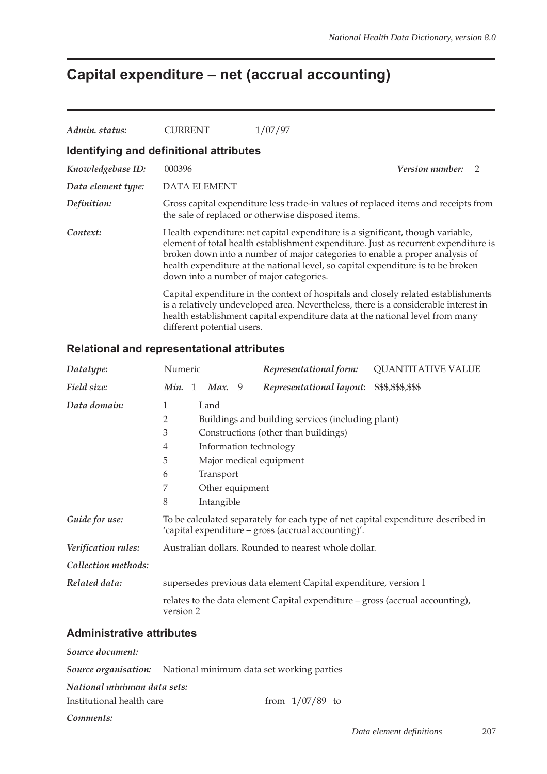## **Capital expenditure – net (accrual accounting)**

| Admin. status:     | CURRENT                                 | 1/07/97                                                                                                                                                                                                                                                                                                                                   |                        |                |
|--------------------|-----------------------------------------|-------------------------------------------------------------------------------------------------------------------------------------------------------------------------------------------------------------------------------------------------------------------------------------------------------------------------------------------|------------------------|----------------|
|                    | Identifying and definitional attributes |                                                                                                                                                                                                                                                                                                                                           |                        |                |
| Knowledgebase ID:  | 000396                                  |                                                                                                                                                                                                                                                                                                                                           | <b>Version number:</b> | $\overline{2}$ |
| Data element type: | <b>DATA ELEMENT</b>                     |                                                                                                                                                                                                                                                                                                                                           |                        |                |
| Definition:        |                                         | Gross capital expenditure less trade-in values of replaced items and receipts from<br>the sale of replaced or otherwise disposed items.                                                                                                                                                                                                   |                        |                |
| Context:           | down into a number of major categories. | Health expenditure: net capital expenditure is a significant, though variable,<br>element of total health establishment expenditure. Just as recurrent expenditure is<br>broken down into a number of major categories to enable a proper analysis of<br>health expenditure at the national level, so capital expenditure is to be broken |                        |                |
|                    | different potential users.              | Capital expenditure in the context of hospitals and closely related establishments<br>is a relatively undeveloped area. Nevertheless, there is a considerable interest in<br>health establishment capital expenditure data at the national level from many                                                                                |                        |                |

#### **Relational and representational attributes**

| Datatype:           | Numeric        |                 | Representational form:                                                        | <b>QUANTITATIVE VALUE</b>                                                         |
|---------------------|----------------|-----------------|-------------------------------------------------------------------------------|-----------------------------------------------------------------------------------|
| Field size:         | Min. 1         | <b>Max.</b> 9   | Representational layout:                                                      | \$\$\$,\$\$\$,\$\$\$                                                              |
| Data domain:        | 1              | Land            |                                                                               |                                                                                   |
|                     | $\overline{2}$ |                 | Buildings and building services (including plant)                             |                                                                                   |
|                     | 3              |                 | Constructions (other than buildings)                                          |                                                                                   |
|                     | $\overline{4}$ |                 | Information technology                                                        |                                                                                   |
|                     | 5              |                 | Major medical equipment                                                       |                                                                                   |
|                     | 6              | Transport       |                                                                               |                                                                                   |
|                     | 7              | Other equipment |                                                                               |                                                                                   |
|                     | 8              | Intangible      |                                                                               |                                                                                   |
| Guide for use:      |                |                 | 'capital expenditure – gross (accrual accounting)'.                           | To be calculated separately for each type of net capital expenditure described in |
| Verification rules: |                |                 | Australian dollars. Rounded to nearest whole dollar.                          |                                                                                   |
| Collection methods: |                |                 |                                                                               |                                                                                   |
| Related data:       |                |                 | supersedes previous data element Capital expenditure, version 1               |                                                                                   |
|                     | version 2      |                 | relates to the data element Capital expenditure - gross (accrual accounting), |                                                                                   |
|                     |                |                 |                                                                               |                                                                                   |

#### **Administrative attributes**

*Source document:*

|                             | <b>Source organisation:</b> National minimum data set working parties |
|-----------------------------|-----------------------------------------------------------------------|
| National minimum data sets: |                                                                       |
| Institutional health care   | from $1/07/89$ to                                                     |

*Comments:*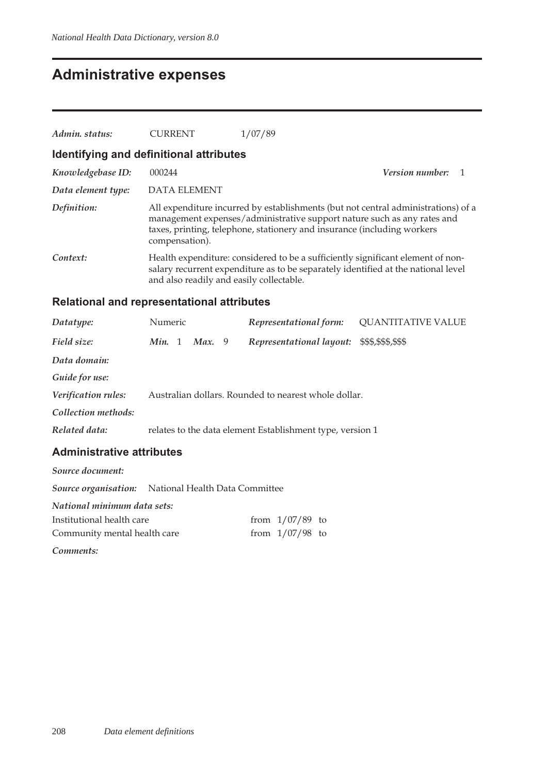### **Administrative expenses**

| Admin. status:                          | <b>CURRENT</b>                           | 1/07/89                                                                                                                                                                                                                                 |                        |  |  |  |  |
|-----------------------------------------|------------------------------------------|-----------------------------------------------------------------------------------------------------------------------------------------------------------------------------------------------------------------------------------------|------------------------|--|--|--|--|
| Identifying and definitional attributes |                                          |                                                                                                                                                                                                                                         |                        |  |  |  |  |
| Knowledgebase ID:                       | 000244                                   |                                                                                                                                                                                                                                         | <i>Version number:</i> |  |  |  |  |
| Data element type:                      | DATA ELEMENT                             |                                                                                                                                                                                                                                         |                        |  |  |  |  |
| Definition:                             | compensation).                           | All expenditure incurred by establishments (but not central administrations) of a<br>management expenses/administrative support nature such as any rates and<br>taxes, printing, telephone, stationery and insurance (including workers |                        |  |  |  |  |
| Context:                                | and also readily and easily collectable. | Health expenditure: considered to be a sufficiently significant element of non-<br>salary recurrent expenditure as to be separately identified at the national level                                                                    |                        |  |  |  |  |

### **Relational and representational attributes**

| Datatype:           | Numeric |        | Representational form:                                    | <b>QUANTITATIVE VALUE</b> |
|---------------------|---------|--------|-----------------------------------------------------------|---------------------------|
| Field size:         | Min. 1  | Max. 9 | Representational layout:                                  | \$\$\$,\$\$\$,\$\$\$      |
| Data domain:        |         |        |                                                           |                           |
| Guide for use:      |         |        |                                                           |                           |
| Verification rules: |         |        | Australian dollars. Rounded to nearest whole dollar.      |                           |
| Collection methods: |         |        |                                                           |                           |
| Related data:       |         |        | relates to the data element Establishment type, version 1 |                           |
|                     |         |        |                                                           |                           |

| Source document:             |                                                            |                   |  |
|------------------------------|------------------------------------------------------------|-------------------|--|
|                              | <b>Source organisation:</b> National Health Data Committee |                   |  |
| National minimum data sets:  |                                                            |                   |  |
| Institutional health care    |                                                            | from $1/07/89$ to |  |
| Community mental health care |                                                            | from $1/07/98$ to |  |
| Comments:                    |                                                            |                   |  |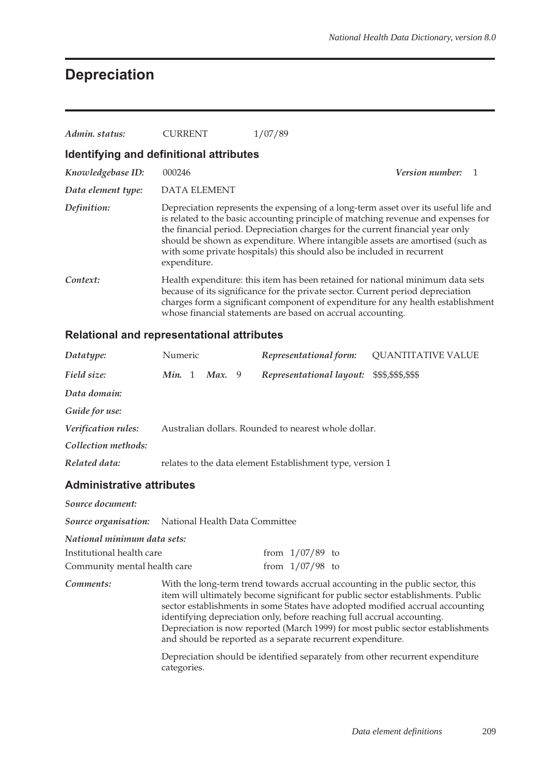### **Depreciation**

| Admin. status:                          | CURRENT             | 1/07/89                                                                                                                                                                                                                                                                                                                                                                                                                |  |  |  |  |  |  |
|-----------------------------------------|---------------------|------------------------------------------------------------------------------------------------------------------------------------------------------------------------------------------------------------------------------------------------------------------------------------------------------------------------------------------------------------------------------------------------------------------------|--|--|--|--|--|--|
| Identifying and definitional attributes |                     |                                                                                                                                                                                                                                                                                                                                                                                                                        |  |  |  |  |  |  |
| Knowledgebase ID:                       | 000246              | <i>Version number:</i>                                                                                                                                                                                                                                                                                                                                                                                                 |  |  |  |  |  |  |
| Data element type:                      | <b>DATA ELEMENT</b> |                                                                                                                                                                                                                                                                                                                                                                                                                        |  |  |  |  |  |  |
| Definition:                             | expenditure.        | Depreciation represents the expensing of a long-term asset over its useful life and<br>is related to the basic accounting principle of matching revenue and expenses for<br>the financial period. Depreciation charges for the current financial year only<br>should be shown as expenditure. Where intangible assets are amortised (such as<br>with some private hospitals) this should also be included in recurrent |  |  |  |  |  |  |
| Context:                                |                     | Health expenditure: this item has been retained for national minimum data sets<br>because of its significance for the private sector. Current period depreciation<br>charges form a significant component of expenditure for any health establishment<br>whose financial statements are based on accrual accounting.                                                                                                   |  |  |  |  |  |  |

#### **Relational and representational attributes**

| Datatype:           | Numeric |        | Representational form:                                    | <b>QUANTITATIVE VALUE</b> |
|---------------------|---------|--------|-----------------------------------------------------------|---------------------------|
| Field size:         | Min. 1  | Max. 9 | Representational layout: \$\$\$,\$\$\$,\$\$\$             |                           |
| Data domain:        |         |        |                                                           |                           |
| Guide for use:      |         |        |                                                           |                           |
| Verification rules: |         |        | Australian dollars. Rounded to nearest whole dollar.      |                           |
| Collection methods: |         |        |                                                           |                           |
| Related data:       |         |        | relates to the data element Establishment type, version 1 |                           |
|                     |         |        |                                                           |                           |

#### **Administrative attributes**

| Source document:             |                                                                                                                                                                                                                                                                                                                                |  |                   |  |
|------------------------------|--------------------------------------------------------------------------------------------------------------------------------------------------------------------------------------------------------------------------------------------------------------------------------------------------------------------------------|--|-------------------|--|
|                              | Source organisation: National Health Data Committee                                                                                                                                                                                                                                                                            |  |                   |  |
| National minimum data sets:  |                                                                                                                                                                                                                                                                                                                                |  |                   |  |
| Institutional health care    |                                                                                                                                                                                                                                                                                                                                |  | from $1/07/89$ to |  |
| Community mental health care |                                                                                                                                                                                                                                                                                                                                |  | from $1/07/98$ to |  |
| Comments:                    | With the long-term trend towards accrual accounting in the public sector, this<br>item will ultimately become significant for public sector establishments. Public<br>sector establishments in some States have adopted modified accrual accounting<br>identifying depreciation only, before reaching full accrual accounting. |  |                   |  |

Depreciation is now reported (March 1999) for most public sector establishments and should be reported as a separate recurrent expenditure.

Depreciation should be identified separately from other recurrent expenditure categories.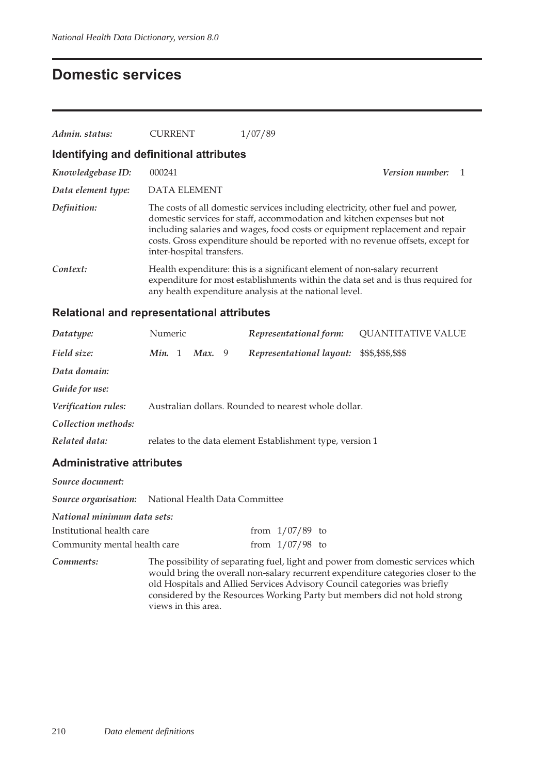### **Domestic services**

| Admin. status:                          | <b>CURRENT</b>            | 1/07/89                                                                                                                                                                                                                                                                                                                       |                        |  |  |  |  |  |
|-----------------------------------------|---------------------------|-------------------------------------------------------------------------------------------------------------------------------------------------------------------------------------------------------------------------------------------------------------------------------------------------------------------------------|------------------------|--|--|--|--|--|
| Identifying and definitional attributes |                           |                                                                                                                                                                                                                                                                                                                               |                        |  |  |  |  |  |
| Knowledgebase ID:                       | 000241                    |                                                                                                                                                                                                                                                                                                                               | <i>Version number:</i> |  |  |  |  |  |
| Data element type:                      | <b>DATA ELEMENT</b>       |                                                                                                                                                                                                                                                                                                                               |                        |  |  |  |  |  |
| Definition:                             | inter-hospital transfers. | The costs of all domestic services including electricity, other fuel and power,<br>domestic services for staff, accommodation and kitchen expenses but not<br>including salaries and wages, food costs or equipment replacement and repair<br>costs. Gross expenditure should be reported with no revenue offsets, except for |                        |  |  |  |  |  |
| Context:                                |                           | Health expenditure: this is a significant element of non-salary recurrent<br>expenditure for most establishments within the data set and is thus required for<br>any health expenditure analysis at the national level.                                                                                                       |                        |  |  |  |  |  |

### **Relational and representational attributes**

| Datatype:           | Numeric |        | Representational form:                                    | <b>QUANTITATIVE VALUE</b> |
|---------------------|---------|--------|-----------------------------------------------------------|---------------------------|
| Field size:         | Min. 1  | Max. 9 | Representational layout:                                  | \$\$\$,\$\$\$,\$\$\$      |
| Data domain:        |         |        |                                                           |                           |
| Guide for use:      |         |        |                                                           |                           |
| Verification rules: |         |        | Australian dollars. Rounded to nearest whole dollar.      |                           |
| Collection methods: |         |        |                                                           |                           |
| Related data:       |         |        | relates to the data element Establishment type, version 1 |                           |

| Source document:             |                                                                                                                                                                                                                                                                                                                                                        |  |                   |  |
|------------------------------|--------------------------------------------------------------------------------------------------------------------------------------------------------------------------------------------------------------------------------------------------------------------------------------------------------------------------------------------------------|--|-------------------|--|
|                              | Source organisation: National Health Data Committee                                                                                                                                                                                                                                                                                                    |  |                   |  |
| National minimum data sets:  |                                                                                                                                                                                                                                                                                                                                                        |  |                   |  |
| Institutional health care    |                                                                                                                                                                                                                                                                                                                                                        |  | from $1/07/89$ to |  |
| Community mental health care |                                                                                                                                                                                                                                                                                                                                                        |  | from $1/07/98$ to |  |
| Comments:                    | The possibility of separating fuel, light and power from domestic services which<br>would bring the overall non-salary recurrent expenditure categories closer to the<br>old Hospitals and Allied Services Advisory Council categories was briefly<br>considered by the Resources Working Party but members did not hold strong<br>views in this area. |  |                   |  |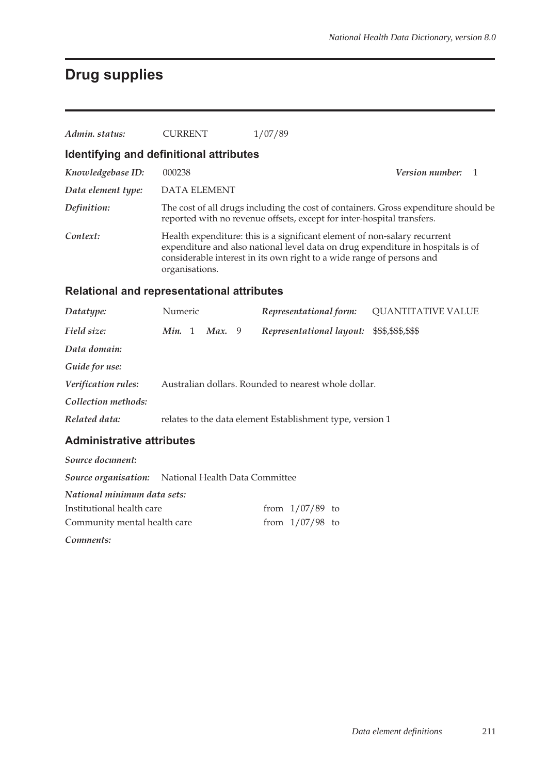## **Drug supplies**

| Admin. status:                                    | <b>CURRENT</b>                                                                                                                                                                                                                                          | 1/07/89                                                                |                                                                                     |  |
|---------------------------------------------------|---------------------------------------------------------------------------------------------------------------------------------------------------------------------------------------------------------------------------------------------------------|------------------------------------------------------------------------|-------------------------------------------------------------------------------------|--|
|                                                   |                                                                                                                                                                                                                                                         |                                                                        |                                                                                     |  |
| Identifying and definitional attributes           |                                                                                                                                                                                                                                                         |                                                                        |                                                                                     |  |
| Knowledgebase ID:                                 | 000238                                                                                                                                                                                                                                                  |                                                                        | <b>Version number:</b><br>1                                                         |  |
| Data element type:                                | <b>DATA ELEMENT</b>                                                                                                                                                                                                                                     |                                                                        |                                                                                     |  |
| Definition:                                       |                                                                                                                                                                                                                                                         | reported with no revenue offsets, except for inter-hospital transfers. | The cost of all drugs including the cost of containers. Gross expenditure should be |  |
| Context:                                          | Health expenditure: this is a significant element of non-salary recurrent<br>expenditure and also national level data on drug expenditure in hospitals is of<br>considerable interest in its own right to a wide range of persons and<br>organisations. |                                                                        |                                                                                     |  |
| <b>Relational and representational attributes</b> |                                                                                                                                                                                                                                                         |                                                                        |                                                                                     |  |
| Datatype:                                         | Numeric                                                                                                                                                                                                                                                 | Representational form:                                                 | <b>QUANTITATIVE VALUE</b>                                                           |  |
| Field size:                                       | Min. 1<br>Max. 9                                                                                                                                                                                                                                        | Representational layout:                                               | \$\$\$,\$\$\$,\$\$\$                                                                |  |
| Data domain:                                      |                                                                                                                                                                                                                                                         |                                                                        |                                                                                     |  |
| Guide for use:                                    |                                                                                                                                                                                                                                                         |                                                                        |                                                                                     |  |
| Verification rules:                               |                                                                                                                                                                                                                                                         | Australian dollars. Rounded to nearest whole dollar.                   |                                                                                     |  |
| Collection methods:                               |                                                                                                                                                                                                                                                         |                                                                        |                                                                                     |  |
| Related data:                                     |                                                                                                                                                                                                                                                         | relates to the data element Establishment type, version 1              |                                                                                     |  |
| <b>Administrative attributes</b>                  |                                                                                                                                                                                                                                                         |                                                                        |                                                                                     |  |
| Source document:                                  |                                                                                                                                                                                                                                                         |                                                                        |                                                                                     |  |

*Source organisation:* National Health Data Committee *National minimum data sets:* Institutional health care from  $1/07/89$  to Community mental health care from  $1/07/98$  to

*Comments:*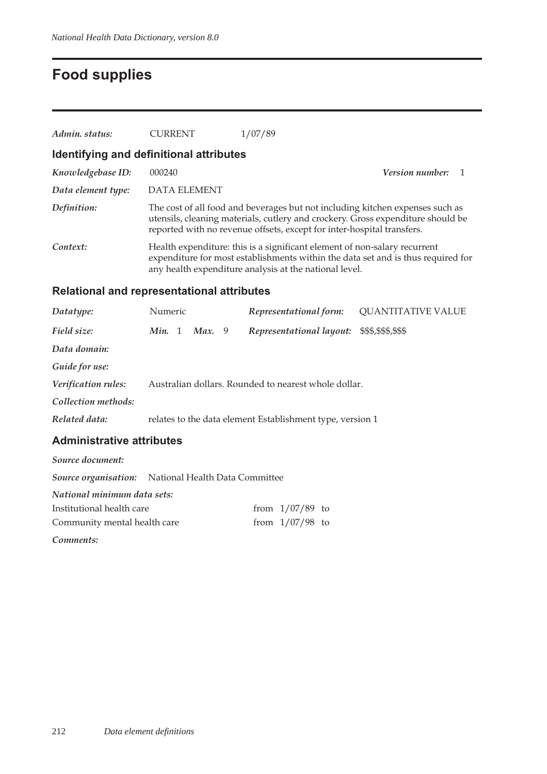## **Food supplies**

| Admin. status:                                                                           | <b>CURRENT</b>                                                                                                                                                                                                          | 1/07/89                                                                                                                                                                                                                                    |                             |  |  |
|------------------------------------------------------------------------------------------|-------------------------------------------------------------------------------------------------------------------------------------------------------------------------------------------------------------------------|--------------------------------------------------------------------------------------------------------------------------------------------------------------------------------------------------------------------------------------------|-----------------------------|--|--|
| Identifying and definitional attributes                                                  |                                                                                                                                                                                                                         |                                                                                                                                                                                                                                            |                             |  |  |
| Knowledgebase ID:                                                                        | 000240                                                                                                                                                                                                                  |                                                                                                                                                                                                                                            | <b>Version number:</b><br>1 |  |  |
| Data element type:                                                                       | <b>DATA ELEMENT</b>                                                                                                                                                                                                     |                                                                                                                                                                                                                                            |                             |  |  |
| Definition:                                                                              |                                                                                                                                                                                                                         | The cost of all food and beverages but not including kitchen expenses such as<br>utensils, cleaning materials, cutlery and crockery. Gross expenditure should be<br>reported with no revenue offsets, except for inter-hospital transfers. |                             |  |  |
| Context:                                                                                 | Health expenditure: this is a significant element of non-salary recurrent<br>expenditure for most establishments within the data set and is thus required for<br>any health expenditure analysis at the national level. |                                                                                                                                                                                                                                            |                             |  |  |
| <b>Relational and representational attributes</b>                                        |                                                                                                                                                                                                                         |                                                                                                                                                                                                                                            |                             |  |  |
| Datatype:                                                                                | Numeric                                                                                                                                                                                                                 | Representational form:                                                                                                                                                                                                                     | <b>QUANTITATIVE VALUE</b>   |  |  |
| Field size:                                                                              | <i>Min.</i> 1 <i>Max.</i> 9                                                                                                                                                                                             | Representational layout:                                                                                                                                                                                                                   | \$\$\$,\$\$\$,\$\$\$        |  |  |
| Data domain:                                                                             |                                                                                                                                                                                                                         |                                                                                                                                                                                                                                            |                             |  |  |
| Guide for use:                                                                           |                                                                                                                                                                                                                         |                                                                                                                                                                                                                                            |                             |  |  |
| Verification rules:                                                                      |                                                                                                                                                                                                                         | Australian dollars. Rounded to nearest whole dollar.                                                                                                                                                                                       |                             |  |  |
| Collection methods:                                                                      |                                                                                                                                                                                                                         |                                                                                                                                                                                                                                            |                             |  |  |
| Related data:                                                                            |                                                                                                                                                                                                                         | relates to the data element Establishment type, version 1                                                                                                                                                                                  |                             |  |  |
| <b>Administrative attributes</b>                                                         |                                                                                                                                                                                                                         |                                                                                                                                                                                                                                            |                             |  |  |
| Source document:                                                                         |                                                                                                                                                                                                                         |                                                                                                                                                                                                                                            |                             |  |  |
| Source organisation:                                                                     | National Health Data Committee                                                                                                                                                                                          |                                                                                                                                                                                                                                            |                             |  |  |
| National minimum data sets:<br>Institutional health care<br>Community mental health care |                                                                                                                                                                                                                         | from $1/07/89$ to<br>from $1/07/98$ to                                                                                                                                                                                                     |                             |  |  |
| Comments:                                                                                |                                                                                                                                                                                                                         |                                                                                                                                                                                                                                            |                             |  |  |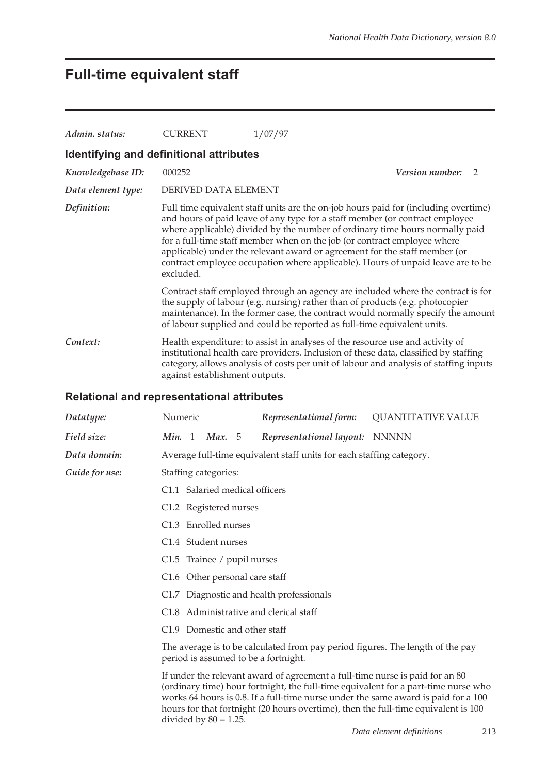### **Full-time equivalent staff**

| Admin. status:     | <b>CURRENT</b>                                                                                                                                                                                                                                                                                   | 1/07/97                                                                                                                                                                                                                                |                                                                                                                                                                                                                                                        |  |
|--------------------|--------------------------------------------------------------------------------------------------------------------------------------------------------------------------------------------------------------------------------------------------------------------------------------------------|----------------------------------------------------------------------------------------------------------------------------------------------------------------------------------------------------------------------------------------|--------------------------------------------------------------------------------------------------------------------------------------------------------------------------------------------------------------------------------------------------------|--|
|                    | Identifying and definitional attributes                                                                                                                                                                                                                                                          |                                                                                                                                                                                                                                        |                                                                                                                                                                                                                                                        |  |
| Knowledgebase ID:  | 000252                                                                                                                                                                                                                                                                                           |                                                                                                                                                                                                                                        | <b>Version number:</b><br>2                                                                                                                                                                                                                            |  |
| Data element type: | DERIVED DATA ELEMENT                                                                                                                                                                                                                                                                             |                                                                                                                                                                                                                                        |                                                                                                                                                                                                                                                        |  |
| Definition:        | excluded.                                                                                                                                                                                                                                                                                        | and hours of paid leave of any type for a staff member (or contract employee<br>for a full-time staff member when on the job (or contract employee where<br>applicable) under the relevant award or agreement for the staff member (or | Full time equivalent staff units are the on-job hours paid for (including overtime)<br>where applicable) divided by the number of ordinary time hours normally paid<br>contract employee occupation where applicable). Hours of unpaid leave are to be |  |
|                    |                                                                                                                                                                                                                                                                                                  | the supply of labour (e.g. nursing) rather than of products (e.g. photocopier<br>of labour supplied and could be reported as full-time equivalent units.                                                                               | Contract staff employed through an agency are included where the contract is for<br>maintenance). In the former case, the contract would normally specify the amount                                                                                   |  |
| Context:           | Health expenditure: to assist in analyses of the resource use and activity of<br>institutional health care providers. Inclusion of these data, classified by staffing<br>category, allows analysis of costs per unit of labour and analysis of staffing inputs<br>against establishment outputs. |                                                                                                                                                                                                                                        |                                                                                                                                                                                                                                                        |  |
|                    | <b>Relational and representational attributes</b>                                                                                                                                                                                                                                                |                                                                                                                                                                                                                                        |                                                                                                                                                                                                                                                        |  |
| Datatype:          | Numeric                                                                                                                                                                                                                                                                                          | Representational form:                                                                                                                                                                                                                 | <b>QUANTITATIVE VALUE</b>                                                                                                                                                                                                                              |  |
| Field size:        | Min. 1<br><b>Max.</b> 5                                                                                                                                                                                                                                                                          | Representational layout: NNNNN                                                                                                                                                                                                         |                                                                                                                                                                                                                                                        |  |
| Data domain:       |                                                                                                                                                                                                                                                                                                  | Average full-time equivalent staff units for each staffing category.                                                                                                                                                                   |                                                                                                                                                                                                                                                        |  |
| Guide for use:     | Staffing categories:                                                                                                                                                                                                                                                                             |                                                                                                                                                                                                                                        |                                                                                                                                                                                                                                                        |  |
|                    | C1.1 Salaried medical officers                                                                                                                                                                                                                                                                   |                                                                                                                                                                                                                                        |                                                                                                                                                                                                                                                        |  |
|                    | C1.2 Registered nurses                                                                                                                                                                                                                                                                           |                                                                                                                                                                                                                                        |                                                                                                                                                                                                                                                        |  |
|                    | C1.3 Enrolled nurses                                                                                                                                                                                                                                                                             |                                                                                                                                                                                                                                        |                                                                                                                                                                                                                                                        |  |
|                    | C1.4 Student nurses                                                                                                                                                                                                                                                                              |                                                                                                                                                                                                                                        |                                                                                                                                                                                                                                                        |  |
|                    | C1.5 Trainee / pupil nurses                                                                                                                                                                                                                                                                      |                                                                                                                                                                                                                                        |                                                                                                                                                                                                                                                        |  |
|                    | C1.6 Other personal care staff                                                                                                                                                                                                                                                                   |                                                                                                                                                                                                                                        |                                                                                                                                                                                                                                                        |  |
|                    | C1.7 Diagnostic and health professionals                                                                                                                                                                                                                                                         |                                                                                                                                                                                                                                        |                                                                                                                                                                                                                                                        |  |
|                    | C1.8 Administrative and clerical staff                                                                                                                                                                                                                                                           |                                                                                                                                                                                                                                        |                                                                                                                                                                                                                                                        |  |
|                    | C1.9 Domestic and other staff                                                                                                                                                                                                                                                                    |                                                                                                                                                                                                                                        |                                                                                                                                                                                                                                                        |  |
|                    | period is assumed to be a fortnight.                                                                                                                                                                                                                                                             | The average is to be calculated from pay period figures. The length of the pay                                                                                                                                                         |                                                                                                                                                                                                                                                        |  |
|                    |                                                                                                                                                                                                                                                                                                  | If under the relevant award of agreement a full-time nurse is paid for an 80                                                                                                                                                           | (ordinary time) hour fortnight, the full-time equivalent for a part-time nurse who                                                                                                                                                                     |  |

works 64 hours is 0.8. If a full-time nurse under the same award is paid for a 100 hours for that fortnight (20 hours overtime), then the full-time equivalent is 100 divided by  $80 = 1.25$ .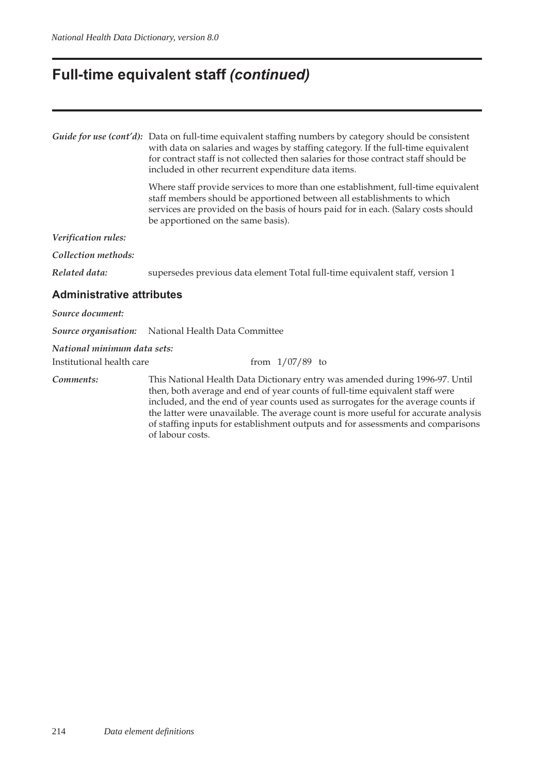## **Full-time equivalent staff** *(continued)*

|                                  | Guide for use (cont'd): Data on full-time equivalent staffing numbers by category should be consistent<br>with data on salaries and wages by staffing category. If the full-time equivalent<br>for contract staff is not collected then salaries for those contract staff should be<br>included in other recurrent expenditure data items.                                                                                                       |  |  |  |  |
|----------------------------------|--------------------------------------------------------------------------------------------------------------------------------------------------------------------------------------------------------------------------------------------------------------------------------------------------------------------------------------------------------------------------------------------------------------------------------------------------|--|--|--|--|
|                                  | Where staff provide services to more than one establishment, full-time equivalent<br>staff members should be apportioned between all establishments to which<br>services are provided on the basis of hours paid for in each. (Salary costs should<br>be apportioned on the same basis).                                                                                                                                                         |  |  |  |  |
| Verification rules:              |                                                                                                                                                                                                                                                                                                                                                                                                                                                  |  |  |  |  |
| Collection methods:              |                                                                                                                                                                                                                                                                                                                                                                                                                                                  |  |  |  |  |
| Related data:                    | supersedes previous data element Total full-time equivalent staff, version 1                                                                                                                                                                                                                                                                                                                                                                     |  |  |  |  |
| <b>Administrative attributes</b> |                                                                                                                                                                                                                                                                                                                                                                                                                                                  |  |  |  |  |
| Source document:                 |                                                                                                                                                                                                                                                                                                                                                                                                                                                  |  |  |  |  |
| Source organisation:             | National Health Data Committee                                                                                                                                                                                                                                                                                                                                                                                                                   |  |  |  |  |
| National minimum data sets:      |                                                                                                                                                                                                                                                                                                                                                                                                                                                  |  |  |  |  |
| Institutional health care        | from $1/07/89$ to                                                                                                                                                                                                                                                                                                                                                                                                                                |  |  |  |  |
| Comments:                        | This National Health Data Dictionary entry was amended during 1996-97. Until<br>then, both average and end of year counts of full-time equivalent staff were<br>included, and the end of year counts used as surrogates for the average counts if<br>the latter were unavailable. The average count is more useful for accurate analysis<br>of staffing inputs for establishment outputs and for assessments and comparisons<br>of labour costs. |  |  |  |  |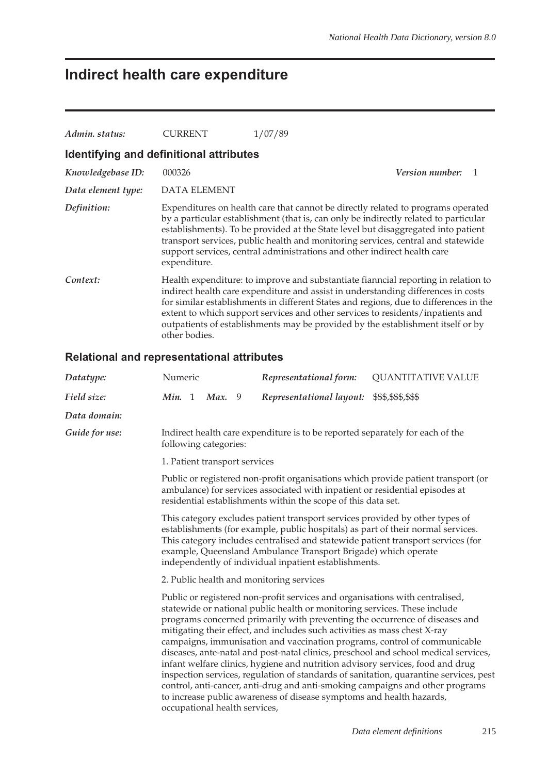## **Indirect health care expenditure**

| Admin. status:                          | <b>CURRENT</b>      | 1/07/89                                                                                                                                                                                                                                                                                                                                                                                                                                |  |
|-----------------------------------------|---------------------|----------------------------------------------------------------------------------------------------------------------------------------------------------------------------------------------------------------------------------------------------------------------------------------------------------------------------------------------------------------------------------------------------------------------------------------|--|
| Identifying and definitional attributes |                     |                                                                                                                                                                                                                                                                                                                                                                                                                                        |  |
| Knowledgebase ID:                       | 000326              | <b>Version number:</b><br>$\overline{1}$                                                                                                                                                                                                                                                                                                                                                                                               |  |
| Data element type:                      | <b>DATA ELEMENT</b> |                                                                                                                                                                                                                                                                                                                                                                                                                                        |  |
| Definition:                             | expenditure.        | Expenditures on health care that cannot be directly related to programs operated<br>by a particular establishment (that is, can only be indirectly related to particular<br>establishments). To be provided at the State level but disaggregated into patient<br>transport services, public health and monitoring services, central and statewide<br>support services, central administrations and other indirect health care          |  |
| Context:                                | other bodies.       | Health expenditure: to improve and substantiate fianncial reporting in relation to<br>indirect health care expenditure and assist in understanding differences in costs<br>for similar establishments in different States and regions, due to differences in the<br>extent to which support services and other services to residents/inpatients and<br>outpatients of establishments may be provided by the establishment itself or by |  |

### **Relational and representational attributes**

| Datatype:      | Numeric                                                                                                                                                                                                                                                                                                                                                                                                                                                                                                                                                                                                                                                                                                                                                                                                                                                        |  |                               |  | Representational form:   | <b>QUANTITATIVE VALUE</b> |  |
|----------------|----------------------------------------------------------------------------------------------------------------------------------------------------------------------------------------------------------------------------------------------------------------------------------------------------------------------------------------------------------------------------------------------------------------------------------------------------------------------------------------------------------------------------------------------------------------------------------------------------------------------------------------------------------------------------------------------------------------------------------------------------------------------------------------------------------------------------------------------------------------|--|-------------------------------|--|--------------------------|---------------------------|--|
| Field size:    | Min. 1                                                                                                                                                                                                                                                                                                                                                                                                                                                                                                                                                                                                                                                                                                                                                                                                                                                         |  | Max. 9                        |  | Representational layout: | \$\$\$,\$\$\$,\$\$\$      |  |
| Data domain:   |                                                                                                                                                                                                                                                                                                                                                                                                                                                                                                                                                                                                                                                                                                                                                                                                                                                                |  |                               |  |                          |                           |  |
| Guide for use: | Indirect health care expenditure is to be reported separately for each of the<br>following categories:                                                                                                                                                                                                                                                                                                                                                                                                                                                                                                                                                                                                                                                                                                                                                         |  |                               |  |                          |                           |  |
|                |                                                                                                                                                                                                                                                                                                                                                                                                                                                                                                                                                                                                                                                                                                                                                                                                                                                                |  | 1. Patient transport services |  |                          |                           |  |
|                | Public or registered non-profit organisations which provide patient transport (or<br>ambulance) for services associated with inpatient or residential episodes at<br>residential establishments within the scope of this data set.                                                                                                                                                                                                                                                                                                                                                                                                                                                                                                                                                                                                                             |  |                               |  |                          |                           |  |
|                | This category excludes patient transport services provided by other types of<br>establishments (for example, public hospitals) as part of their normal services.<br>This category includes centralised and statewide patient transport services (for<br>example, Queensland Ambulance Transport Brigade) which operate<br>independently of individual inpatient establishments.                                                                                                                                                                                                                                                                                                                                                                                                                                                                                |  |                               |  |                          |                           |  |
|                | 2. Public health and monitoring services                                                                                                                                                                                                                                                                                                                                                                                                                                                                                                                                                                                                                                                                                                                                                                                                                       |  |                               |  |                          |                           |  |
|                | Public or registered non-profit services and organisations with centralised,<br>statewide or national public health or monitoring services. These include<br>programs concerned primarily with preventing the occurrence of diseases and<br>mitigating their effect, and includes such activities as mass chest X-ray<br>campaigns, immunisation and vaccination programs, control of communicable<br>diseases, ante-natal and post-natal clinics, preschool and school medical services,<br>infant welfare clinics, hygiene and nutrition advisory services, food and drug<br>inspection services, regulation of standards of sanitation, quarantine services, pest<br>control, anti-cancer, anti-drug and anti-smoking campaigns and other programs<br>to increase public awareness of disease symptoms and health hazards,<br>occupational health services, |  |                               |  |                          |                           |  |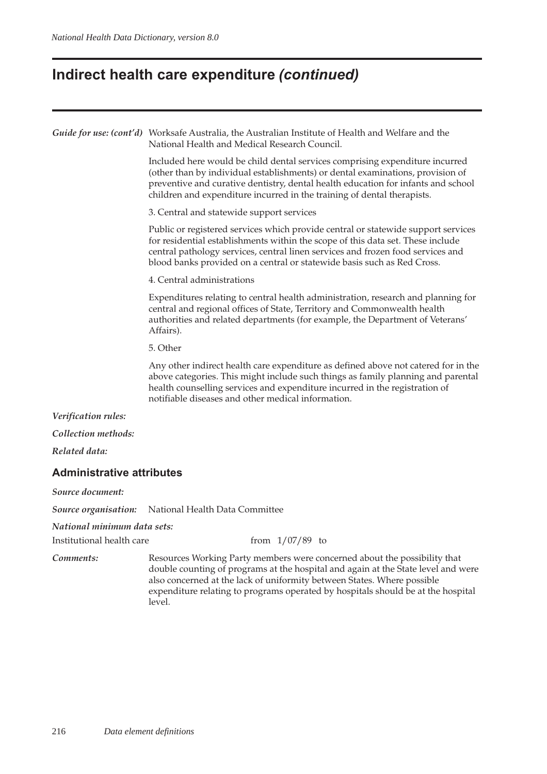### **Indirect health care expenditure** *(continued)*

|                                  | Guide for use: (cont'd) Worksafe Australia, the Australian Institute of Health and Welfare and the<br>National Health and Medical Research Council.                                                                                                                                                                                |  |  |  |  |  |
|----------------------------------|------------------------------------------------------------------------------------------------------------------------------------------------------------------------------------------------------------------------------------------------------------------------------------------------------------------------------------|--|--|--|--|--|
|                                  | Included here would be child dental services comprising expenditure incurred<br>(other than by individual establishments) or dental examinations, provision of<br>preventive and curative dentistry, dental health education for infants and school<br>children and expenditure incurred in the training of dental therapists.     |  |  |  |  |  |
|                                  | 3. Central and statewide support services                                                                                                                                                                                                                                                                                          |  |  |  |  |  |
|                                  | Public or registered services which provide central or statewide support services<br>for residential establishments within the scope of this data set. These include<br>central pathology services, central linen services and frozen food services and<br>blood banks provided on a central or statewide basis such as Red Cross. |  |  |  |  |  |
|                                  | 4. Central administrations                                                                                                                                                                                                                                                                                                         |  |  |  |  |  |
|                                  | Expenditures relating to central health administration, research and planning for<br>central and regional offices of State, Territory and Commonwealth health<br>authorities and related departments (for example, the Department of Veterans'<br>Affairs).                                                                        |  |  |  |  |  |
|                                  | 5. Other                                                                                                                                                                                                                                                                                                                           |  |  |  |  |  |
|                                  | Any other indirect health care expenditure as defined above not catered for in the<br>above categories. This might include such things as family planning and parental<br>health counselling services and expenditure incurred in the registration of<br>notifiable diseases and other medical information.                        |  |  |  |  |  |
| Verification rules:              |                                                                                                                                                                                                                                                                                                                                    |  |  |  |  |  |
| Collection methods:              |                                                                                                                                                                                                                                                                                                                                    |  |  |  |  |  |
| Related data:                    |                                                                                                                                                                                                                                                                                                                                    |  |  |  |  |  |
| <b>Administrative attributes</b> |                                                                                                                                                                                                                                                                                                                                    |  |  |  |  |  |
| Source document:                 |                                                                                                                                                                                                                                                                                                                                    |  |  |  |  |  |
| Source organisation:             | National Health Data Committee                                                                                                                                                                                                                                                                                                     |  |  |  |  |  |
| National minimum data sets:      |                                                                                                                                                                                                                                                                                                                                    |  |  |  |  |  |
| Institutional health care        | from $1/07/89$ to                                                                                                                                                                                                                                                                                                                  |  |  |  |  |  |
| Comments:                        | Resources Working Party members were concerned about the possibility that                                                                                                                                                                                                                                                          |  |  |  |  |  |

double counting of programs at the hospital and again at the State level and were also concerned at the lack of uniformity between States. Where possible expenditure relating to programs operated by hospitals should be at the hospital level.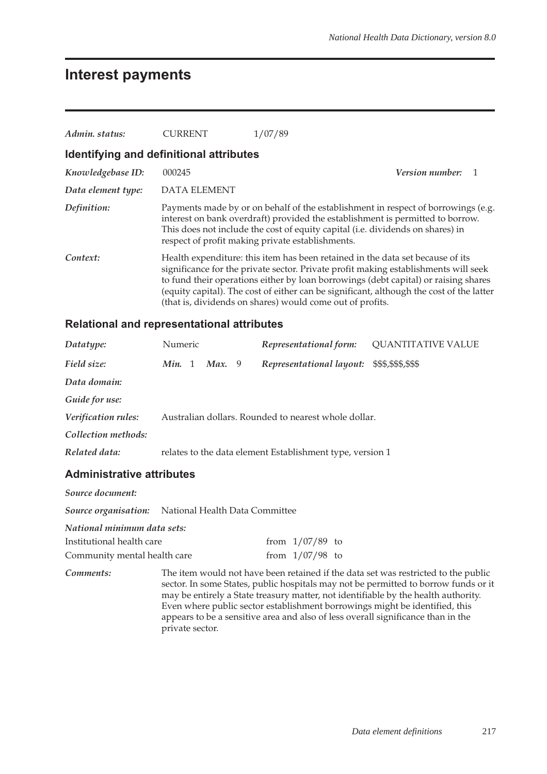## **Interest payments**

| Admin. status:     | CURRENT                                 | 1/07/89                                                                                                                                                                                                                                                                                                                                                                                                               |  |  |  |  |  |  |  |
|--------------------|-----------------------------------------|-----------------------------------------------------------------------------------------------------------------------------------------------------------------------------------------------------------------------------------------------------------------------------------------------------------------------------------------------------------------------------------------------------------------------|--|--|--|--|--|--|--|
|                    | Identifying and definitional attributes |                                                                                                                                                                                                                                                                                                                                                                                                                       |  |  |  |  |  |  |  |
| Knowledgebase ID:  | 000245                                  | <b>Version number:</b>                                                                                                                                                                                                                                                                                                                                                                                                |  |  |  |  |  |  |  |
| Data element type: | <b>DATA ELEMENT</b>                     |                                                                                                                                                                                                                                                                                                                                                                                                                       |  |  |  |  |  |  |  |
| Definition:        |                                         | Payments made by or on behalf of the establishment in respect of borrowings (e.g.<br>interest on bank overdraft) provided the establishment is permitted to borrow.<br>This does not include the cost of equity capital (i.e. dividends on shares) in<br>respect of profit making private establishments.                                                                                                             |  |  |  |  |  |  |  |
| Context:           |                                         | Health expenditure: this item has been retained in the data set because of its<br>significance for the private sector. Private profit making establishments will seek<br>to fund their operations either by loan borrowings (debt capital) or raising shares<br>(equity capital). The cost of either can be significant, although the cost of the latter<br>(that is, dividends on shares) would come out of profits. |  |  |  |  |  |  |  |

### **Relational and representational attributes**

| Datatype:           | <b>Numeric</b>   | Representational form:                                    | <b>QUANTITATIVE VALUE</b> |
|---------------------|------------------|-----------------------------------------------------------|---------------------------|
| Field size:         | Min. 1<br>Max. 9 | Representational layout: \$\$\$,\$\$\$,\$\$\$             |                           |
| Data domain:        |                  |                                                           |                           |
| Guide for use:      |                  |                                                           |                           |
| Verification rules: |                  | Australian dollars. Rounded to nearest whole dollar.      |                           |
| Collection methods: |                  |                                                           |                           |
| Related data:       |                  | relates to the data element Establishment type, version 1 |                           |

| Source document:             |                                                     |  |                   |  |                                                                                                                                                                                                                                                                                                                                                                                                                                    |
|------------------------------|-----------------------------------------------------|--|-------------------|--|------------------------------------------------------------------------------------------------------------------------------------------------------------------------------------------------------------------------------------------------------------------------------------------------------------------------------------------------------------------------------------------------------------------------------------|
|                              | Source organisation: National Health Data Committee |  |                   |  |                                                                                                                                                                                                                                                                                                                                                                                                                                    |
| National minimum data sets:  |                                                     |  |                   |  |                                                                                                                                                                                                                                                                                                                                                                                                                                    |
| Institutional health care    |                                                     |  | from $1/07/89$ to |  |                                                                                                                                                                                                                                                                                                                                                                                                                                    |
| Community mental health care |                                                     |  | from $1/07/98$ to |  |                                                                                                                                                                                                                                                                                                                                                                                                                                    |
| Comments:                    | private sector.                                     |  |                   |  | The item would not have been retained if the data set was restricted to the public<br>sector. In some States, public hospitals may not be permitted to borrow funds or it<br>may be entirely a State treasury matter, not identifiable by the health authority.<br>Even where public sector establishment borrowings might be identified, this<br>appears to be a sensitive area and also of less overall significance than in the |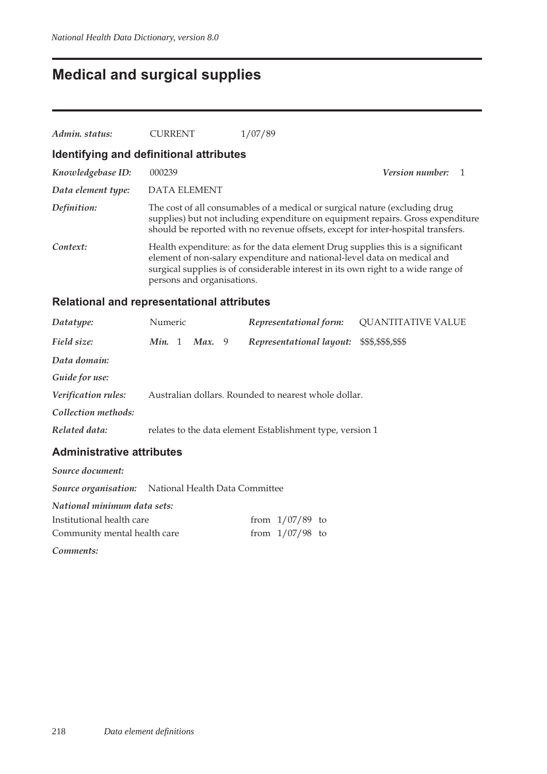## **Medical and surgical supplies**

| Admin. status:                          | <b>CURRENT</b>             | 1/07/89                                                                                                                                                                                                                                            |                        |
|-----------------------------------------|----------------------------|----------------------------------------------------------------------------------------------------------------------------------------------------------------------------------------------------------------------------------------------------|------------------------|
| Identifying and definitional attributes |                            |                                                                                                                                                                                                                                                    |                        |
| Knowledgebase ID:                       | 000239                     |                                                                                                                                                                                                                                                    | <b>Version number:</b> |
| Data element type:                      | DATA ELEMENT               |                                                                                                                                                                                                                                                    |                        |
| Definition:                             |                            | The cost of all consumables of a medical or surgical nature (excluding drug<br>supplies) but not including expenditure on equipment repairs. Gross expenditure<br>should be reported with no revenue offsets, except for inter-hospital transfers. |                        |
| Context:                                | persons and organisations. | Health expenditure: as for the data element Drug supplies this is a significant<br>element of non-salary expenditure and national-level data on medical and<br>surgical supplies is of considerable interest in its own right to a wide range of   |                        |

### **Relational and representational attributes**

| Datatype:           | Numeric |        | Representational form:                                    | <b>QUANTITATIVE VALUE</b> |
|---------------------|---------|--------|-----------------------------------------------------------|---------------------------|
| Field size:         | Min. 1  | Max. 9 | Representational layout:                                  | \$\$\$,\$\$\$,\$\$\$      |
| Data domain:        |         |        |                                                           |                           |
| Guide for use:      |         |        |                                                           |                           |
| Verification rules: |         |        | Australian dollars. Rounded to nearest whole dollar.      |                           |
| Collection methods: |         |        |                                                           |                           |
| Related data:       |         |        | relates to the data element Establishment type, version 1 |                           |
|                     |         |        |                                                           |                           |

| Source document:                                           |  |                   |  |
|------------------------------------------------------------|--|-------------------|--|
| <b>Source organisation:</b> National Health Data Committee |  |                   |  |
| National minimum data sets:                                |  |                   |  |
| Institutional health care                                  |  | from $1/07/89$ to |  |
| Community mental health care                               |  | from $1/07/98$ to |  |
| Comments:                                                  |  |                   |  |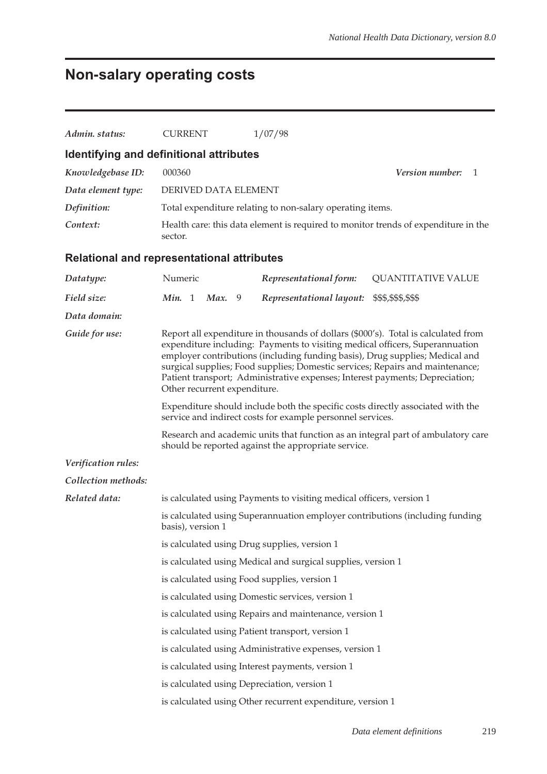# **Non-salary operating costs**

| Admin. status:      | <b>CURRENT</b>                                                                                                                                                                                                                                                                                                                                                                                                                                                                                                                                                                                       | 1/07/98                                                                      |                                                                                    |  |  |  |  |
|---------------------|------------------------------------------------------------------------------------------------------------------------------------------------------------------------------------------------------------------------------------------------------------------------------------------------------------------------------------------------------------------------------------------------------------------------------------------------------------------------------------------------------------------------------------------------------------------------------------------------------|------------------------------------------------------------------------------|------------------------------------------------------------------------------------|--|--|--|--|
|                     | Identifying and definitional attributes                                                                                                                                                                                                                                                                                                                                                                                                                                                                                                                                                              |                                                                              |                                                                                    |  |  |  |  |
| Knowledgebase ID:   | 000360<br>Version number:<br>1                                                                                                                                                                                                                                                                                                                                                                                                                                                                                                                                                                       |                                                                              |                                                                                    |  |  |  |  |
| Data element type:  | DERIVED DATA ELEMENT                                                                                                                                                                                                                                                                                                                                                                                                                                                                                                                                                                                 |                                                                              |                                                                                    |  |  |  |  |
| Definition:         |                                                                                                                                                                                                                                                                                                                                                                                                                                                                                                                                                                                                      | Total expenditure relating to non-salary operating items.                    |                                                                                    |  |  |  |  |
| Context:            | sector.                                                                                                                                                                                                                                                                                                                                                                                                                                                                                                                                                                                              |                                                                              | Health care: this data element is required to monitor trends of expenditure in the |  |  |  |  |
|                     | <b>Relational and representational attributes</b>                                                                                                                                                                                                                                                                                                                                                                                                                                                                                                                                                    |                                                                              |                                                                                    |  |  |  |  |
| Datatype:           | Numeric                                                                                                                                                                                                                                                                                                                                                                                                                                                                                                                                                                                              | Representational form:                                                       | <b>QUANTITATIVE VALUE</b>                                                          |  |  |  |  |
| Field size:         | Min. 1<br><b>Max.</b> 9                                                                                                                                                                                                                                                                                                                                                                                                                                                                                                                                                                              | Representational layout:                                                     | \$\$\$,\$\$\$,\$\$\$                                                               |  |  |  |  |
| Data domain:        |                                                                                                                                                                                                                                                                                                                                                                                                                                                                                                                                                                                                      |                                                                              |                                                                                    |  |  |  |  |
| Guide for use:      | Report all expenditure in thousands of dollars (\$000's). Total is calculated from<br>expenditure including: Payments to visiting medical officers, Superannuation<br>employer contributions (including funding basis), Drug supplies; Medical and<br>surgical supplies; Food supplies; Domestic services; Repairs and maintenance;<br>Patient transport; Administrative expenses; Interest payments; Depreciation;<br>Other recurrent expenditure.<br>Expenditure should include both the specific costs directly associated with the<br>service and indirect costs for example personnel services. |                                                                              |                                                                                    |  |  |  |  |
|                     |                                                                                                                                                                                                                                                                                                                                                                                                                                                                                                                                                                                                      |                                                                              |                                                                                    |  |  |  |  |
|                     | Research and academic units that function as an integral part of ambulatory care<br>should be reported against the appropriate service.                                                                                                                                                                                                                                                                                                                                                                                                                                                              |                                                                              |                                                                                    |  |  |  |  |
| Verification rules: |                                                                                                                                                                                                                                                                                                                                                                                                                                                                                                                                                                                                      |                                                                              |                                                                                    |  |  |  |  |
| Collection methods: |                                                                                                                                                                                                                                                                                                                                                                                                                                                                                                                                                                                                      |                                                                              |                                                                                    |  |  |  |  |
| Related data:       |                                                                                                                                                                                                                                                                                                                                                                                                                                                                                                                                                                                                      | is calculated using Payments to visiting medical officers, version 1         |                                                                                    |  |  |  |  |
|                     | basis), version 1                                                                                                                                                                                                                                                                                                                                                                                                                                                                                                                                                                                    | is calculated using Superannuation employer contributions (including funding |                                                                                    |  |  |  |  |
|                     |                                                                                                                                                                                                                                                                                                                                                                                                                                                                                                                                                                                                      | is calculated using Drug supplies, version 1                                 |                                                                                    |  |  |  |  |
|                     | is calculated using Medical and surgical supplies, version 1                                                                                                                                                                                                                                                                                                                                                                                                                                                                                                                                         |                                                                              |                                                                                    |  |  |  |  |
|                     | is calculated using Food supplies, version 1                                                                                                                                                                                                                                                                                                                                                                                                                                                                                                                                                         |                                                                              |                                                                                    |  |  |  |  |
|                     | is calculated using Domestic services, version 1                                                                                                                                                                                                                                                                                                                                                                                                                                                                                                                                                     |                                                                              |                                                                                    |  |  |  |  |
|                     |                                                                                                                                                                                                                                                                                                                                                                                                                                                                                                                                                                                                      | is calculated using Repairs and maintenance, version 1                       |                                                                                    |  |  |  |  |
|                     |                                                                                                                                                                                                                                                                                                                                                                                                                                                                                                                                                                                                      | is calculated using Patient transport, version 1                             |                                                                                    |  |  |  |  |
|                     |                                                                                                                                                                                                                                                                                                                                                                                                                                                                                                                                                                                                      | is calculated using Administrative expenses, version 1                       |                                                                                    |  |  |  |  |
|                     |                                                                                                                                                                                                                                                                                                                                                                                                                                                                                                                                                                                                      | is calculated using Interest payments, version 1                             |                                                                                    |  |  |  |  |
|                     | is calculated using Depreciation, version 1                                                                                                                                                                                                                                                                                                                                                                                                                                                                                                                                                          |                                                                              |                                                                                    |  |  |  |  |
|                     | is calculated using Other recurrent expenditure, version 1                                                                                                                                                                                                                                                                                                                                                                                                                                                                                                                                           |                                                                              |                                                                                    |  |  |  |  |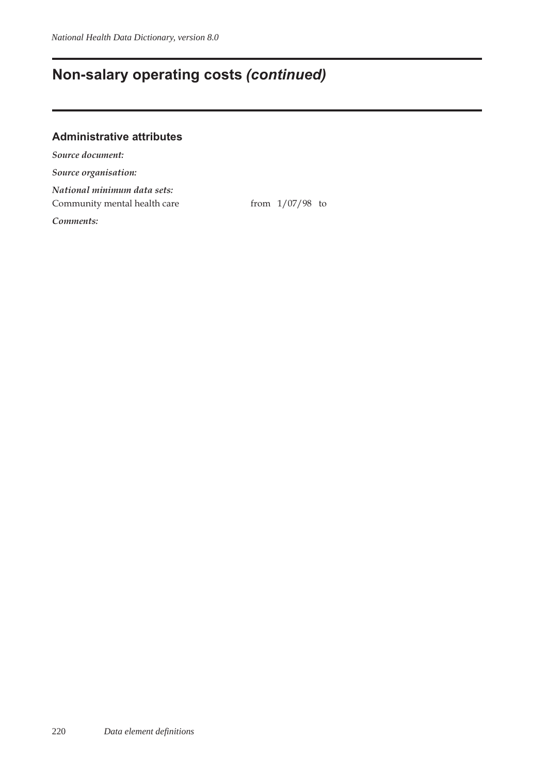### **Non-salary operating costs** *(continued)*

#### **Administrative attributes**

*Source document: Source organisation: National minimum data sets:* Community mental health care from 1/07/98 to *Comments:*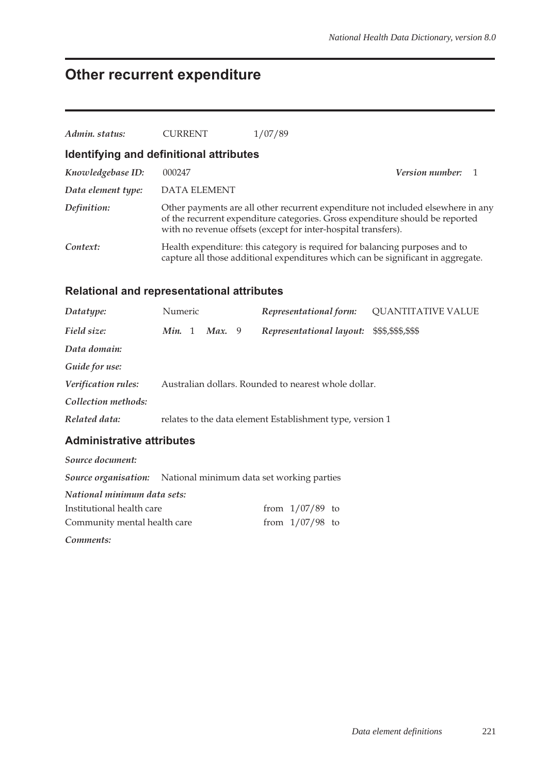### **Other recurrent expenditure**

| Admin. status:     | <b>CURRENT</b>                              | 1/07/89                                                                                                                                                                                                                             |                          |
|--------------------|---------------------------------------------|-------------------------------------------------------------------------------------------------------------------------------------------------------------------------------------------------------------------------------------|--------------------------|
|                    | Identifying and definitional attributes     |                                                                                                                                                                                                                                     |                          |
| Knowledgebase ID:  | 000247                                      |                                                                                                                                                                                                                                     | <b>Version number:</b> 1 |
| Data element type: | DATA ELEMENT                                |                                                                                                                                                                                                                                     |                          |
| Definition:        |                                             | Other payments are all other recurrent expenditure not included elsewhere in any<br>of the recurrent expenditure categories. Gross expenditure should be reported<br>with no revenue offsets (except for inter-hospital transfers). |                          |
| Context:           |                                             | Health expenditure: this category is required for balancing purposes and to<br>capture all those additional expenditures which can be significant in aggregate.                                                                     |                          |
|                    | Deletianal and venyessentetianal ettyikutes |                                                                                                                                                                                                                                     |                          |

#### **Relational and representational attributes**

| Datatype:           | Numeric          | Representational form:                                    | <b>QUANTITATIVE VALUE</b> |
|---------------------|------------------|-----------------------------------------------------------|---------------------------|
| Field size:         | Max. 9<br>Min. 1 | Representational layout:                                  | \$\$\$,\$\$\$,\$\$\$      |
| Data domain:        |                  |                                                           |                           |
| Guide for use:      |                  |                                                           |                           |
| Verification rules: |                  | Australian dollars. Rounded to nearest whole dollar.      |                           |
| Collection methods: |                  |                                                           |                           |
| Related data:       |                  | relates to the data element Establishment type, version 1 |                           |
|                     |                  |                                                           |                           |

#### **Administrative attributes**

*Source document: Source organisation:* National minimum data set working parties *National minimum data sets:* Institutional health care from  $1/07/89$  to Community mental health care  $\frac{1}{07/98}$  to *Comments:*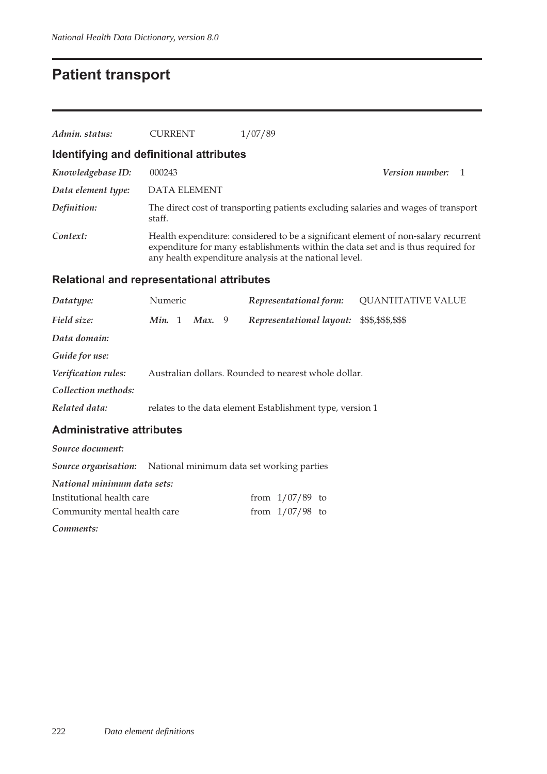### **Patient transport**

| Admin. status:     | <b>CURRENT</b>                          | 1/07/89                                                                                                                                                                                                                          |  |
|--------------------|-----------------------------------------|----------------------------------------------------------------------------------------------------------------------------------------------------------------------------------------------------------------------------------|--|
|                    | Identifying and definitional attributes |                                                                                                                                                                                                                                  |  |
| Knowledgebase ID:  | 000243                                  | <i>Version number:</i><br>$\overline{1}$                                                                                                                                                                                         |  |
| Data element type: | DATA ELEMENT                            |                                                                                                                                                                                                                                  |  |
| Definition:        | staff.                                  | The direct cost of transporting patients excluding salaries and wages of transport                                                                                                                                               |  |
| Context:           |                                         | Health expenditure: considered to be a significant element of non-salary recurrent<br>expenditure for many establishments within the data set and is thus required for<br>any health expenditure analysis at the national level. |  |

### **Relational and representational attributes**

| Datatype:           | Numeric |        | Representational form:                                    | <b>QUANTITATIVE VALUE</b> |
|---------------------|---------|--------|-----------------------------------------------------------|---------------------------|
| Field size:         | Min. 1  | Max. 9 | Representational layout:                                  | \$\$\$,\$\$\$,\$\$\$      |
| Data domain:        |         |        |                                                           |                           |
| Guide for use:      |         |        |                                                           |                           |
| Verification rules: |         |        | Australian dollars. Rounded to nearest whole dollar.      |                           |
| Collection methods: |         |        |                                                           |                           |
| Related data:       |         |        | relates to the data element Establishment type, version 1 |                           |
|                     |         |        |                                                           |                           |

#### **Administrative attributes**

| Source document:                                                      |  |                   |  |  |  |  |
|-----------------------------------------------------------------------|--|-------------------|--|--|--|--|
| <b>Source organisation:</b> National minimum data set working parties |  |                   |  |  |  |  |
| National minimum data sets:                                           |  |                   |  |  |  |  |
| Institutional health care                                             |  | from $1/07/89$ to |  |  |  |  |
| Community mental health care                                          |  | from $1/07/98$ to |  |  |  |  |

*Comments:*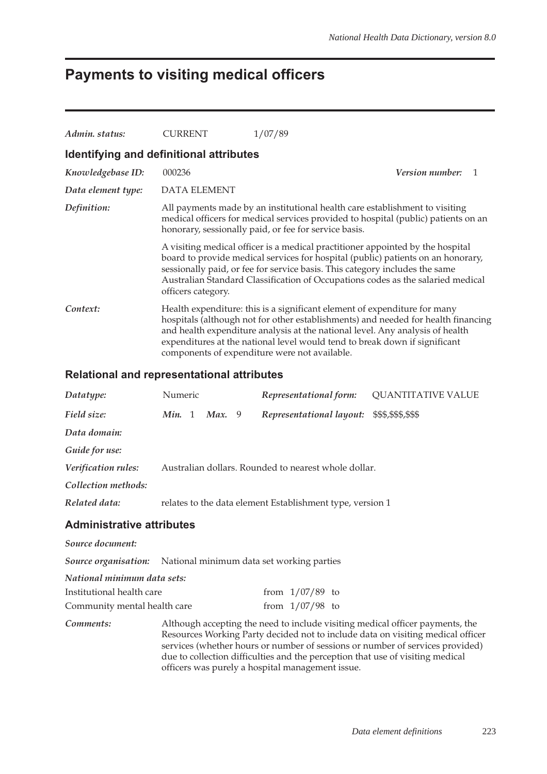## **Payments to visiting medical officers**

| Admin, status:                          | <b>CURRENT</b>      | 1/07/89                                                                                                                                                                                                                                                                                                                                                                        |
|-----------------------------------------|---------------------|--------------------------------------------------------------------------------------------------------------------------------------------------------------------------------------------------------------------------------------------------------------------------------------------------------------------------------------------------------------------------------|
| Identifying and definitional attributes |                     |                                                                                                                                                                                                                                                                                                                                                                                |
| Knowledgebase ID:                       | 000236              | <i>Version number:</i><br>-1                                                                                                                                                                                                                                                                                                                                                   |
| Data element type:                      | <b>DATA ELEMENT</b> |                                                                                                                                                                                                                                                                                                                                                                                |
| Definition:                             |                     | All payments made by an institutional health care establishment to visiting<br>medical officers for medical services provided to hospital (public) patients on an<br>honorary, sessionally paid, or fee for service basis.                                                                                                                                                     |
|                                         | officers category.  | A visiting medical officer is a medical practitioner appointed by the hospital<br>board to provide medical services for hospital (public) patients on an honorary,<br>sessionally paid, or fee for service basis. This category includes the same<br>Australian Standard Classification of Occupations codes as the salaried medical                                           |
| Context:                                |                     | Health expenditure: this is a significant element of expenditure for many<br>hospitals (although not for other establishments) and needed for health financing<br>and health expenditure analysis at the national level. Any analysis of health<br>expenditures at the national level would tend to break down if significant<br>components of expenditure were not available. |

#### **Relational and representational attributes**

| Datatype:                                                      | Numeric |               | Representational form:                                                        | <b>QUANTITATIVE VALUE</b>                                                                                                                                        |
|----------------------------------------------------------------|---------|---------------|-------------------------------------------------------------------------------|------------------------------------------------------------------------------------------------------------------------------------------------------------------|
| Field size:                                                    | Min. 1  | <b>Max.</b> 9 | Representational layout:                                                      | \$\$\$,\$\$\$,\$\$\$                                                                                                                                             |
| Data domain:                                                   |         |               |                                                                               |                                                                                                                                                                  |
| Guide for use:                                                 |         |               |                                                                               |                                                                                                                                                                  |
| Verification rules:                                            |         |               | Australian dollars. Rounded to nearest whole dollar.                          |                                                                                                                                                                  |
| Collection methods:                                            |         |               |                                                                               |                                                                                                                                                                  |
| Related data:                                                  |         |               | relates to the data element Establishment type, version 1                     |                                                                                                                                                                  |
| <b>Administrative attributes</b>                               |         |               |                                                                               |                                                                                                                                                                  |
| Source document:                                               |         |               |                                                                               |                                                                                                                                                                  |
| Source organisation: National minimum data set working parties |         |               |                                                                               |                                                                                                                                                                  |
| National minimum data sets:                                    |         |               |                                                                               |                                                                                                                                                                  |
| Institutional health care                                      |         |               | from $1/07/89$ to                                                             |                                                                                                                                                                  |
| Community mental health care                                   |         |               | from $1/07/98$ to                                                             |                                                                                                                                                                  |
| Comments:                                                      |         |               | Although accepting the need to include visiting medical officer payments, the | Resources Working Party decided not to include data on visiting medical officer<br>services (whether hours or number of sessions or number of services provided) |

officers was purely a hospital management issue.

due to collection difficulties and the perception that use of visiting medical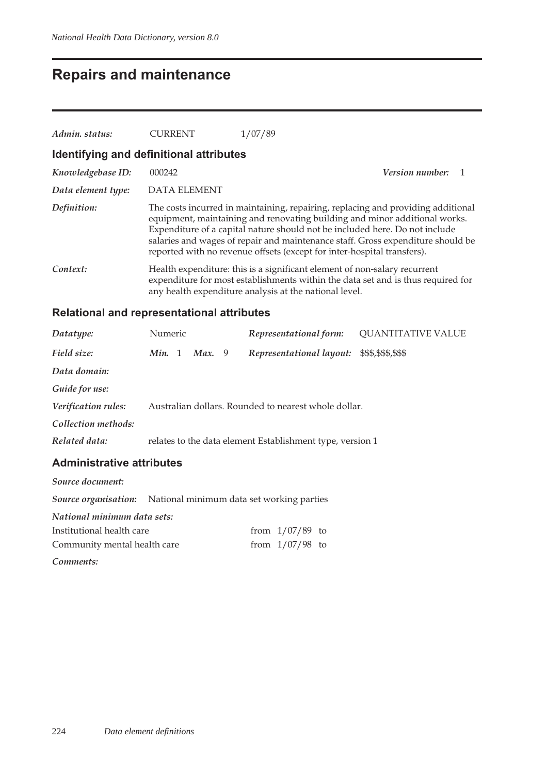## **Repairs and maintenance**

| Admin. status:                          | <b>CURRENT</b>      | 1/07/89                                                                                                                                                                                                                                                                                                                                                                                                     |  |
|-----------------------------------------|---------------------|-------------------------------------------------------------------------------------------------------------------------------------------------------------------------------------------------------------------------------------------------------------------------------------------------------------------------------------------------------------------------------------------------------------|--|
| Identifying and definitional attributes |                     |                                                                                                                                                                                                                                                                                                                                                                                                             |  |
| Knowledgebase ID:                       | 000242              | Version number:                                                                                                                                                                                                                                                                                                                                                                                             |  |
| Data element type:                      | <b>DATA ELEMENT</b> |                                                                                                                                                                                                                                                                                                                                                                                                             |  |
| Definition:                             |                     | The costs incurred in maintaining, repairing, replacing and providing additional<br>equipment, maintaining and renovating building and minor additional works.<br>Expenditure of a capital nature should not be included here. Do not include<br>salaries and wages of repair and maintenance staff. Gross expenditure should be<br>reported with no revenue offsets (except for inter-hospital transfers). |  |
| Context:                                |                     | Health expenditure: this is a significant element of non-salary recurrent<br>expenditure for most establishments within the data set and is thus required for<br>any health expenditure analysis at the national level.                                                                                                                                                                                     |  |

### **Relational and representational attributes**

| Datatype:           | Numeric |        | Representational form:                                    | <b>QUANTITATIVE VALUE</b> |
|---------------------|---------|--------|-----------------------------------------------------------|---------------------------|
| Field size:         | Min. 1  | Max. 9 | Representational layout:                                  | \$\$\$,\$\$\$,\$\$\$      |
| Data domain:        |         |        |                                                           |                           |
| Guide for use:      |         |        |                                                           |                           |
| Verification rules: |         |        | Australian dollars. Rounded to nearest whole dollar.      |                           |
| Collection methods: |         |        |                                                           |                           |
| Related data:       |         |        | relates to the data element Establishment type, version 1 |                           |

| Source document:             |                                                                       |                   |  |
|------------------------------|-----------------------------------------------------------------------|-------------------|--|
|                              | <b>Source organisation:</b> National minimum data set working parties |                   |  |
| National minimum data sets:  |                                                                       |                   |  |
| Institutional health care    |                                                                       | from $1/07/89$ to |  |
| Community mental health care |                                                                       | from $1/07/98$ to |  |
| Comments:                    |                                                                       |                   |  |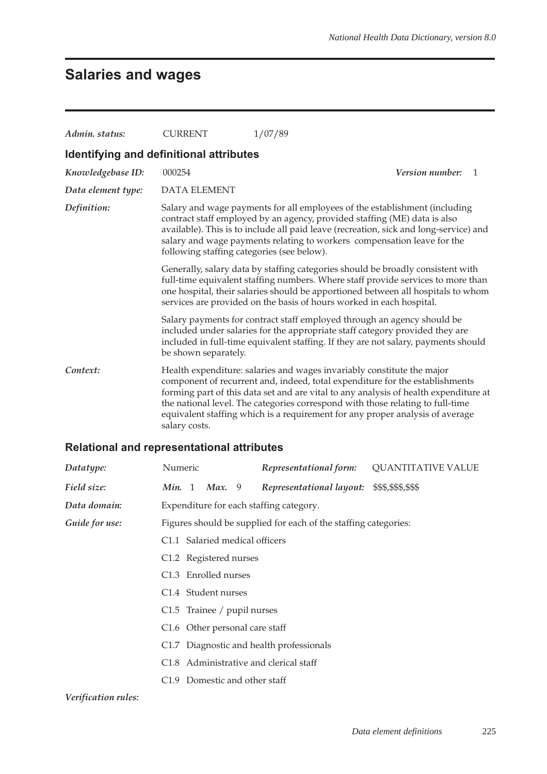## **Salaries and wages**

| Admin. status:                          | <b>CURRENT</b>                             | 1/07/89                                                                                                                                                                                                                                                                                                                                                                                                           |
|-----------------------------------------|--------------------------------------------|-------------------------------------------------------------------------------------------------------------------------------------------------------------------------------------------------------------------------------------------------------------------------------------------------------------------------------------------------------------------------------------------------------------------|
| Identifying and definitional attributes |                                            |                                                                                                                                                                                                                                                                                                                                                                                                                   |
| Knowledgebase ID:                       | 000254                                     | Version number:<br>-1                                                                                                                                                                                                                                                                                                                                                                                             |
| Data element type:                      | DATA ELEMENT                               |                                                                                                                                                                                                                                                                                                                                                                                                                   |
| Definition:                             | following staffing categories (see below). | Salary and wage payments for all employees of the establishment (including<br>contract staff employed by an agency, provided staffing (ME) data is also<br>available). This is to include all paid leave (recreation, sick and long-service) and<br>salary and wage payments relating to workers compensation leave for the                                                                                       |
|                                         |                                            | Generally, salary data by staffing categories should be broadly consistent with<br>full-time equivalent staffing numbers. Where staff provide services to more than<br>one hospital, their salaries should be apportioned between all hospitals to whom<br>services are provided on the basis of hours worked in each hospital.                                                                                   |
|                                         | be shown separately.                       | Salary payments for contract staff employed through an agency should be<br>included under salaries for the appropriate staff category provided they are<br>included in full-time equivalent staffing. If they are not salary, payments should                                                                                                                                                                     |
| Context:                                | salary costs.                              | Health expenditure: salaries and wages invariably constitute the major<br>component of recurrent and, indeed, total expenditure for the establishments<br>forming part of this data set and are vital to any analysis of health expenditure at<br>the national level. The categories correspond with those relating to full-time<br>equivalent staffing which is a requirement for any proper analysis of average |

#### **Relational and representational attributes**

| Datatype:           | Numeric |                                  | Representational form:                                          | <b>QUANTITATIVE VALUE</b> |
|---------------------|---------|----------------------------------|-----------------------------------------------------------------|---------------------------|
| Field size:         | Min. 1  | Max. 9                           | Representational layout:                                        | \$\$\$,\$\$\$,\$\$\$      |
| Data domain:        |         |                                  | Expenditure for each staffing category.                         |                           |
| Guide for use:      |         |                                  | Figures should be supplied for each of the staffing categories: |                           |
|                     |         | C1.1 Salaried medical officers   |                                                                 |                           |
|                     |         | C1.2 Registered nurses           |                                                                 |                           |
|                     |         | C <sub>1.3</sub> Enrolled nurses |                                                                 |                           |
|                     |         | C1.4 Student nurses              |                                                                 |                           |
|                     |         | C1.5 Trainee / pupil nurses      |                                                                 |                           |
|                     |         |                                  | C1.6 Other personal care staff                                  |                           |
|                     |         |                                  | C1.7 Diagnostic and health professionals                        |                           |
|                     |         |                                  | C1.8 Administrative and clerical staff                          |                           |
|                     |         |                                  | C1.9 Domestic and other staff                                   |                           |
| Verification rules: |         |                                  |                                                                 |                           |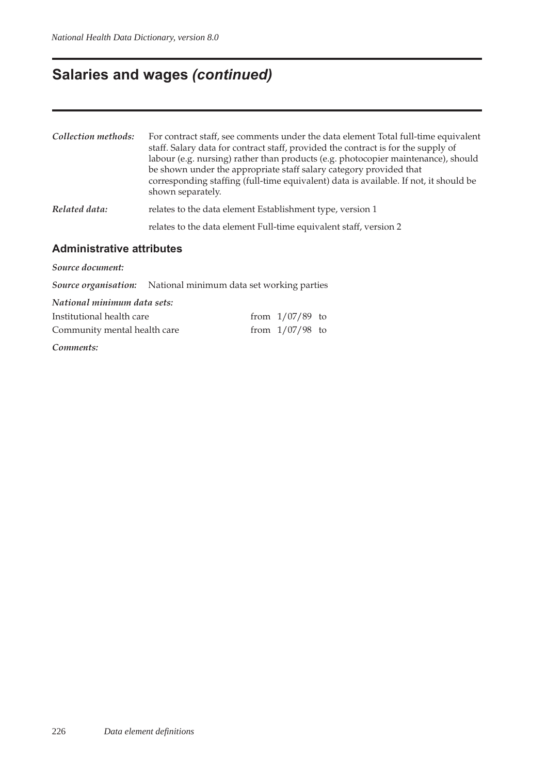## **Salaries and wages** *(continued)*

| Collection methods:              | For contract staff, see comments under the data element Total full-time equivalent<br>staff. Salary data for contract staff, provided the contract is for the supply of<br>labour (e.g. nursing) rather than products (e.g. photocopier maintenance), should<br>be shown under the appropriate staff salary category provided that<br>corresponding staffing (full-time equivalent) data is available. If not, it should be<br>shown separately. |  |  |  |  |  |
|----------------------------------|--------------------------------------------------------------------------------------------------------------------------------------------------------------------------------------------------------------------------------------------------------------------------------------------------------------------------------------------------------------------------------------------------------------------------------------------------|--|--|--|--|--|
| Related data:                    | relates to the data element Establishment type, version 1                                                                                                                                                                                                                                                                                                                                                                                        |  |  |  |  |  |
|                                  | relates to the data element Full-time equivalent staff, version 2                                                                                                                                                                                                                                                                                                                                                                                |  |  |  |  |  |
| <b>Administrative attributes</b> |                                                                                                                                                                                                                                                                                                                                                                                                                                                  |  |  |  |  |  |
| Source document:                 |                                                                                                                                                                                                                                                                                                                                                                                                                                                  |  |  |  |  |  |
|                                  | <b>Source organisation:</b> National minimum data set working parties                                                                                                                                                                                                                                                                                                                                                                            |  |  |  |  |  |
| National minimum data sets:      |                                                                                                                                                                                                                                                                                                                                                                                                                                                  |  |  |  |  |  |

| Institutional health care    | from $1/07/89$ to |  |
|------------------------------|-------------------|--|
| Community mental health care | from $1/07/98$ to |  |

*Comments:*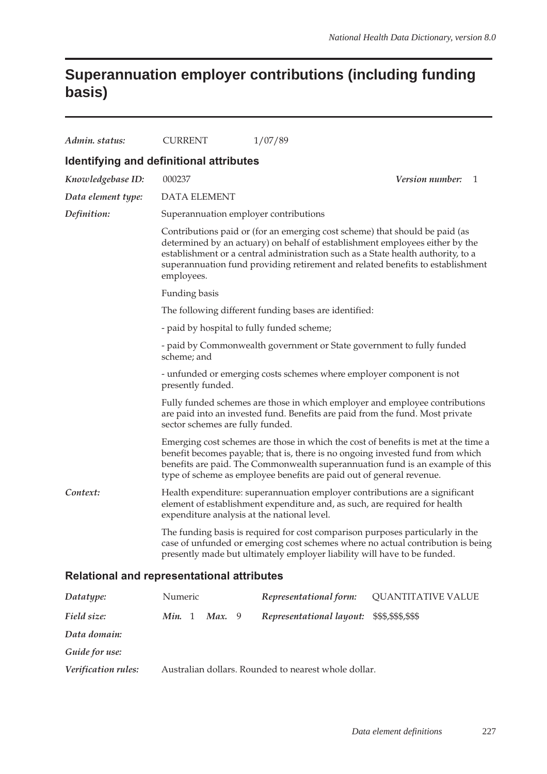### **Superannuation employer contributions (including funding basis)**

| Admin. status:                                    | <b>CURRENT</b>                              | 1/07/89                                                                                                                                                                                                                                                                                                                           |                              |
|---------------------------------------------------|---------------------------------------------|-----------------------------------------------------------------------------------------------------------------------------------------------------------------------------------------------------------------------------------------------------------------------------------------------------------------------------------|------------------------------|
| Identifying and definitional attributes           |                                             |                                                                                                                                                                                                                                                                                                                                   |                              |
| Knowledgebase ID:                                 | 000237                                      |                                                                                                                                                                                                                                                                                                                                   | <i>Version number:</i><br>-1 |
| Data element type:                                | <b>DATA ELEMENT</b>                         |                                                                                                                                                                                                                                                                                                                                   |                              |
| Definition:                                       | Superannuation employer contributions       |                                                                                                                                                                                                                                                                                                                                   |                              |
|                                                   | employees.                                  | Contributions paid or (for an emerging cost scheme) that should be paid (as<br>determined by an actuary) on behalf of establishment employees either by the<br>establishment or a central administration such as a State health authority, to a<br>superannuation fund providing retirement and related benefits to establishment |                              |
|                                                   | Funding basis                               |                                                                                                                                                                                                                                                                                                                                   |                              |
|                                                   |                                             | The following different funding bases are identified:                                                                                                                                                                                                                                                                             |                              |
|                                                   | - paid by hospital to fully funded scheme;  |                                                                                                                                                                                                                                                                                                                                   |                              |
|                                                   | scheme; and                                 | - paid by Commonwealth government or State government to fully funded                                                                                                                                                                                                                                                             |                              |
|                                                   | presently funded.                           | - unfunded or emerging costs schemes where employer component is not                                                                                                                                                                                                                                                              |                              |
|                                                   | sector schemes are fully funded.            | Fully funded schemes are those in which employer and employee contributions<br>are paid into an invested fund. Benefits are paid from the fund. Most private                                                                                                                                                                      |                              |
|                                                   |                                             | Emerging cost schemes are those in which the cost of benefits is met at the time a<br>benefit becomes payable; that is, there is no ongoing invested fund from which<br>benefits are paid. The Commonwealth superannuation fund is an example of this<br>type of scheme as employee benefits are paid out of general revenue.     |                              |
| Context:                                          | expenditure analysis at the national level. | Health expenditure: superannuation employer contributions are a significant<br>element of establishment expenditure and, as such, are required for health                                                                                                                                                                         |                              |
|                                                   |                                             | The funding basis is required for cost comparison purposes particularly in the<br>case of unfunded or emerging cost schemes where no actual contribution is being<br>presently made but ultimately employer liability will have to be funded.                                                                                     |                              |
| <b>Relational and representational attributes</b> |                                             |                                                                                                                                                                                                                                                                                                                                   |                              |

| Datatype:           | Numeric                        | Representational form:                               | QUANTITATIVE VALUE |
|---------------------|--------------------------------|------------------------------------------------------|--------------------|
| Field size:         | <b>Max.</b> 9<br><b>Min.</b> 1 | Representational layout: \$\$\$,\$\$\$,\$\$\$        |                    |
| Data domain:        |                                |                                                      |                    |
| Guide for use:      |                                |                                                      |                    |
| Verification rules: |                                | Australian dollars. Rounded to nearest whole dollar. |                    |